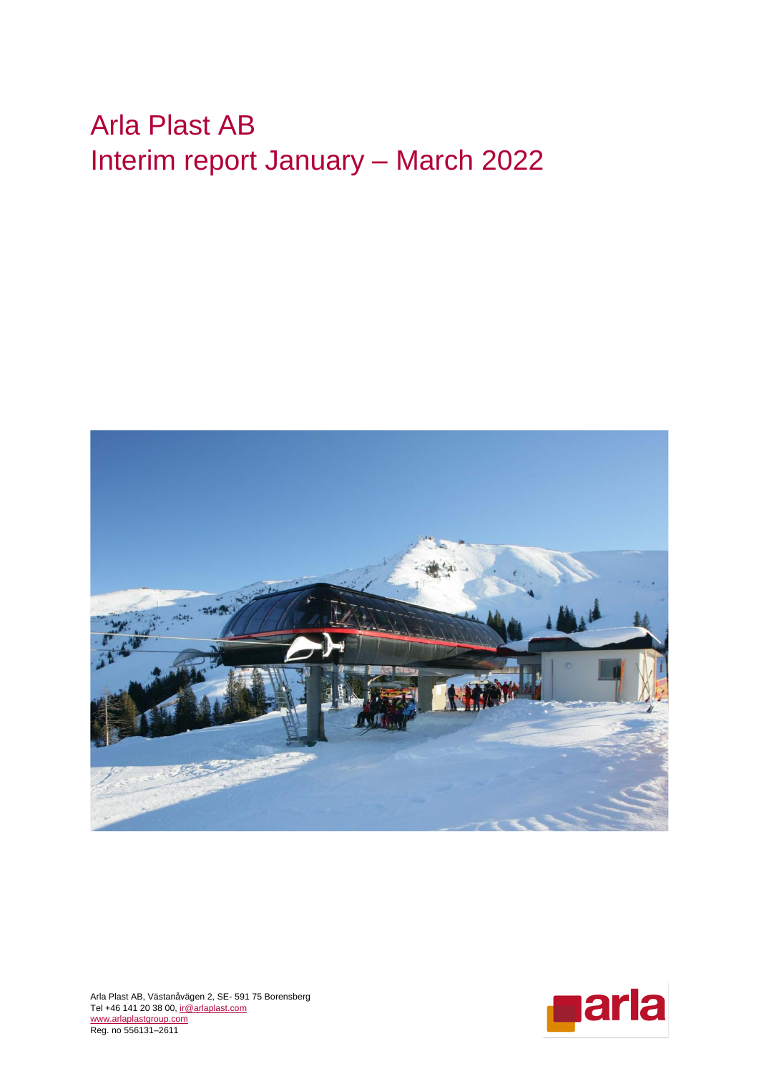# Arla Plast AB Interim report January – March 2022



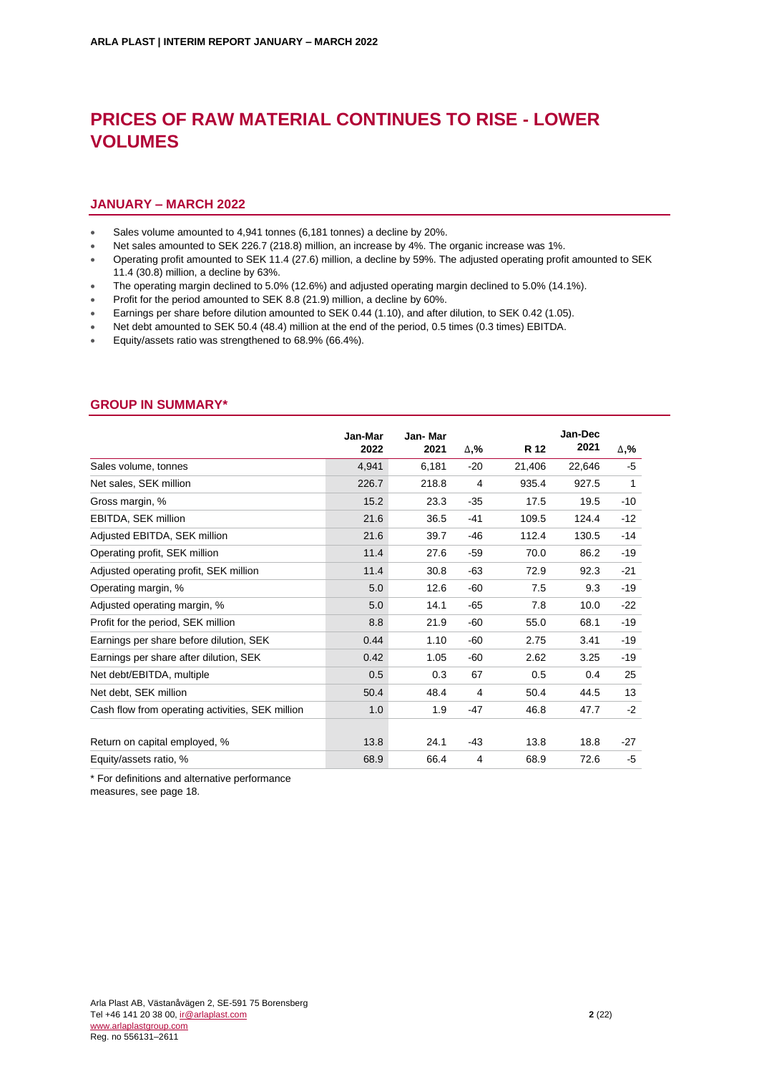# **PRICES OF RAW MATERIAL CONTINUES TO RISE - LOWER VOLUMES**

### **JANUARY – MARCH 2022**

- Sales volume amounted to 4,941 tonnes (6,181 tonnes) a decline by 20%.
- Net sales amounted to SEK 226.7 (218.8) million, an increase by 4%. The organic increase was 1%.
- Operating profit amounted to SEK 11.4 (27.6) million, a decline by 59%. The adjusted operating profit amounted to SEK 11.4 (30.8) million, a decline by 63%.
- The operating margin declined to 5.0% (12.6%) and adjusted operating margin declined to 5.0% (14.1%).
- Profit for the period amounted to SEK 8.8 (21.9) million, a decline by 60%.
- Earnings per share before dilution amounted to SEK 0.44 (1.10), and after dilution, to SEK 0.42 (1.05).
- Net debt amounted to SEK 50.4 (48.4) million at the end of the period, 0.5 times (0.3 times) EBITDA.
- Equity/assets ratio was strengthened to 68.9% (66.4%).

|                                                  | Jan-Mar | Jan-Mar |       |        | Jan-Dec |              |
|--------------------------------------------------|---------|---------|-------|--------|---------|--------------|
|                                                  | 2022    | 2021    | Δ,%   | R 12   | 2021    | Δ,%          |
| Sales volume, tonnes                             | 4.941   | 6,181   | $-20$ | 21,406 | 22,646  | -5           |
| Net sales, SEK million                           | 226.7   | 218.8   | 4     | 935.4  | 927.5   | $\mathbf{1}$ |
| Gross margin, %                                  | 15.2    | 23.3    | $-35$ | 17.5   | 19.5    | $-10$        |
| EBITDA, SEK million                              | 21.6    | 36.5    | $-41$ | 109.5  | 124.4   | $-12$        |
| Adjusted EBITDA, SEK million                     | 21.6    | 39.7    | $-46$ | 112.4  | 130.5   | $-14$        |
| Operating profit, SEK million                    | 11.4    | 27.6    | $-59$ | 70.0   | 86.2    | $-19$        |
| Adjusted operating profit, SEK million           | 11.4    | 30.8    | $-63$ | 72.9   | 92.3    | $-21$        |
| Operating margin, %                              | 5.0     | 12.6    | -60   | 7.5    | 9.3     | $-19$        |
| Adjusted operating margin, %                     | 5.0     | 14.1    | $-65$ | 7.8    | 10.0    | $-22$        |
| Profit for the period, SEK million               | 8.8     | 21.9    | $-60$ | 55.0   | 68.1    | $-19$        |
| Earnings per share before dilution, SEK          | 0.44    | 1.10    | -60   | 2.75   | 3.41    | $-19$        |
| Earnings per share after dilution, SEK           | 0.42    | 1.05    | $-60$ | 2.62   | 3.25    | $-19$        |
| Net debt/EBITDA, multiple                        | 0.5     | 0.3     | 67    | 0.5    | 0.4     | 25           |
| Net debt. SEK million                            | 50.4    | 48.4    | 4     | 50.4   | 44.5    | 13           |
| Cash flow from operating activities, SEK million | 1.0     | 1.9     | -47   | 46.8   | 47.7    | $-2$         |
| Return on capital employed, %                    | 13.8    | 24.1    | $-43$ | 13.8   | 18.8    | $-27$        |
| Equity/assets ratio, %                           | 68.9    | 66.4    | 4     | 68.9   | 72.6    | -5           |

#### **GROUP IN SUMMARY\***

\* For definitions and alternative performance

measures, see page 18.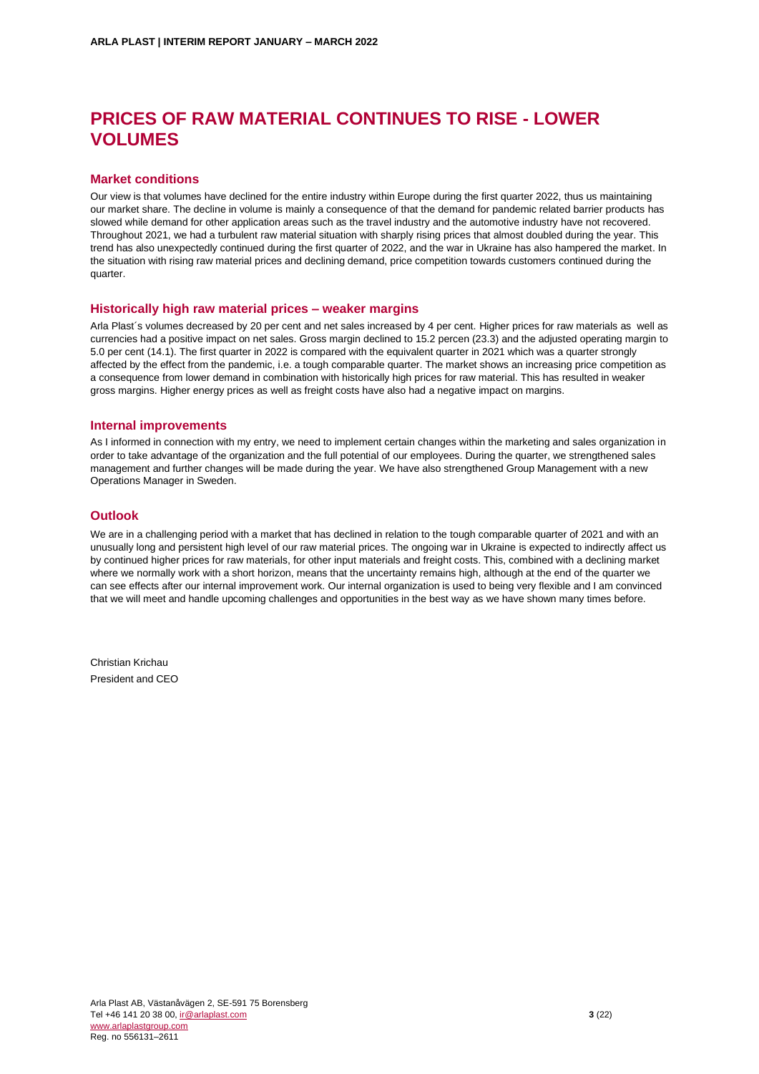# **PRICES OF RAW MATERIAL CONTINUES TO RISE - LOWER VOLUMES**

### **Market conditions**

Our view is that volumes have declined for the entire industry within Europe during the first quarter 2022, thus us maintaining our market share. The decline in volume is mainly a consequence of that the demand for pandemic related barrier products has slowed while demand for other application areas such as the travel industry and the automotive industry have not recovered. Throughout 2021, we had a turbulent raw material situation with sharply rising prices that almost doubled during the year. This trend has also unexpectedly continued during the first quarter of 2022, and the war in Ukraine has also hampered the market. In the situation with rising raw material prices and declining demand, price competition towards customers continued during the quarter.

### **Historically high raw material prices – weaker margins**

Arla Plast´s volumes decreased by 20 per cent and net sales increased by 4 per cent. Higher prices for raw materials as well as currencies had a positive impact on net sales. Gross margin declined to 15.2 percen (23.3) and the adjusted operating margin to 5.0 per cent (14.1). The first quarter in 2022 is compared with the equivalent quarter in 2021 which was a quarter strongly affected by the effect from the pandemic, i.e. a tough comparable quarter. The market shows an increasing price competition as a consequence from lower demand in combination with historically high prices for raw material. This has resulted in weaker gross margins. Higher energy prices as well as freight costs have also had a negative impact on margins.

### **Internal improvements**

As I informed in connection with my entry, we need to implement certain changes within the marketing and sales organization in order to take advantage of the organization and the full potential of our employees. During the quarter, we strengthened sales management and further changes will be made during the year. We have also strengthened Group Management with a new Operations Manager in Sweden.

### **Outlook**

We are in a challenging period with a market that has declined in relation to the tough comparable quarter of 2021 and with an unusually long and persistent high level of our raw material prices. The ongoing war in Ukraine is expected to indirectly affect us by continued higher prices for raw materials, for other input materials and freight costs. This, combined with a declining market where we normally work with a short horizon, means that the uncertainty remains high, although at the end of the quarter we can see effects after our internal improvement work. Our internal organization is used to being very flexible and I am convinced that we will meet and handle upcoming challenges and opportunities in the best way as we have shown many times before.

Christian Krichau President and CEO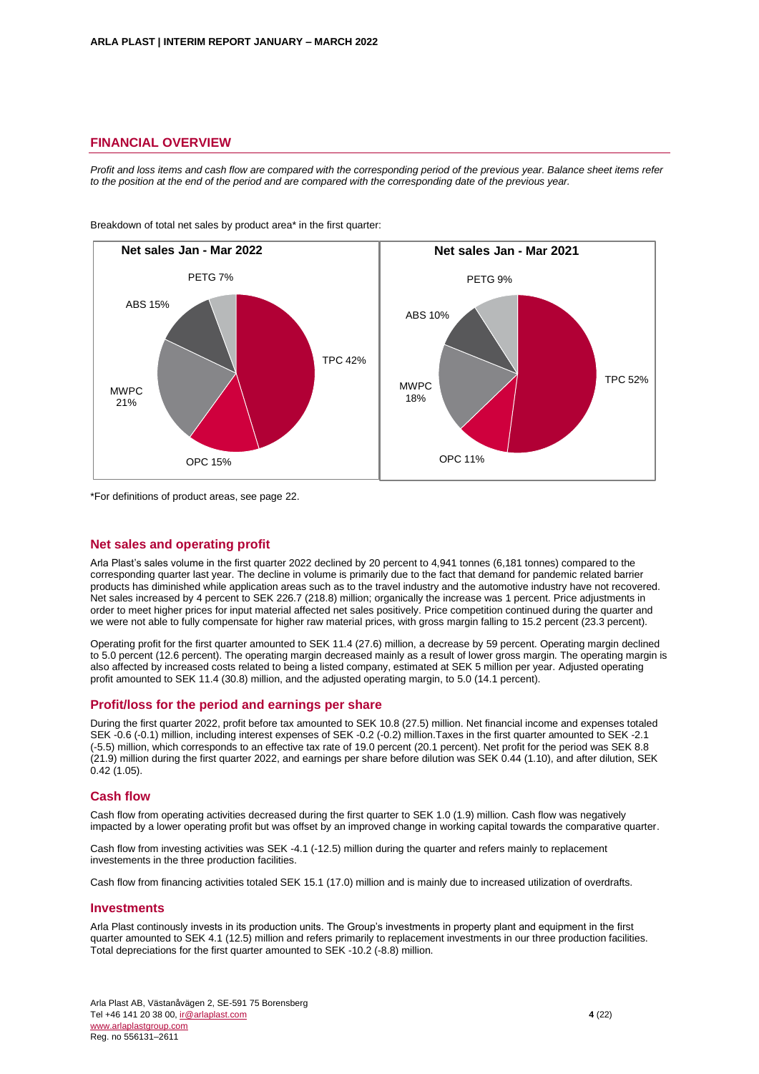### **FINANCIAL OVERVIEW**

*Profit and loss items and cash flow are compared with the corresponding period of the previous year. Balance sheet items refer to the position at the end of the period and are compared with the corresponding date of the previous year.* 



Breakdown of total net sales by product area\* in the first quarter:

\*For definitions of product areas, see page 22.

### **Net sales and operating profit**

Arla Plast's sales volume in the first quarter 2022 declined by 20 percent to 4,941 tonnes (6,181 tonnes) compared to the corresponding quarter last year. The decline in volume is primarily due to the fact that demand for pandemic related barrier products has diminished while application areas such as to the travel industry and the automotive industry have not recovered. Net sales increased by 4 percent to SEK 226.7 (218.8) million; organically the increase was 1 percent. Price adjustments in order to meet higher prices for input material affected net sales positively. Price competition continued during the quarter and we were not able to fully compensate for higher raw material prices, with gross margin falling to 15.2 percent (23.3 percent).

Operating profit for the first quarter amounted to SEK 11.4 (27.6) million, a decrease by 59 percent. Operating margin declined to 5.0 percent (12.6 percent). The operating margin decreased mainly as a result of lower gross margin. The operating margin is also affected by increased costs related to being a listed company, estimated at SEK 5 million per year. Adjusted operating profit amounted to SEK 11.4 (30.8) million, and the adjusted operating margin, to 5.0 (14.1 percent).

### **Profit/loss for the period and earnings per share**

During the first quarter 2022, profit before tax amounted to SEK 10.8 (27.5) million. Net financial income and expenses totaled SEK -0.6 (-0.1) million, including interest expenses of SEK -0.2 (-0.2) million.Taxes in the first quarter amounted to SEK -2.1 (-5.5) million, which corresponds to an effective tax rate of 19.0 percent (20.1 percent). Net profit for the period was SEK 8.8 (21.9) million during the first quarter 2022, and earnings per share before dilution was SEK 0.44 (1.10), and after dilution, SEK  $0.42(1.05)$ .

#### **Cash flow**

Cash flow from operating activities decreased during the first quarter to SEK 1.0 (1.9) million. Cash flow was negatively impacted by a lower operating profit but was offset by an improved change in working capital towards the comparative quarter.

Cash flow from investing activities was SEK -4.1 (-12.5) million during the quarter and refers mainly to replacement investements in the three production facilities.

Cash flow from financing activities totaled SEK 15.1 (17.0) million and is mainly due to increased utilization of overdrafts.

#### **Investments**

Arla Plast continously invests in its production units. The Group's investments in property plant and equipment in the first quarter amounted to SEK 4.1 (12.5) million and refers primarily to replacement investments in our three production facilities. Total depreciations for the first quarter amounted to SEK -10.2 (-8.8) million.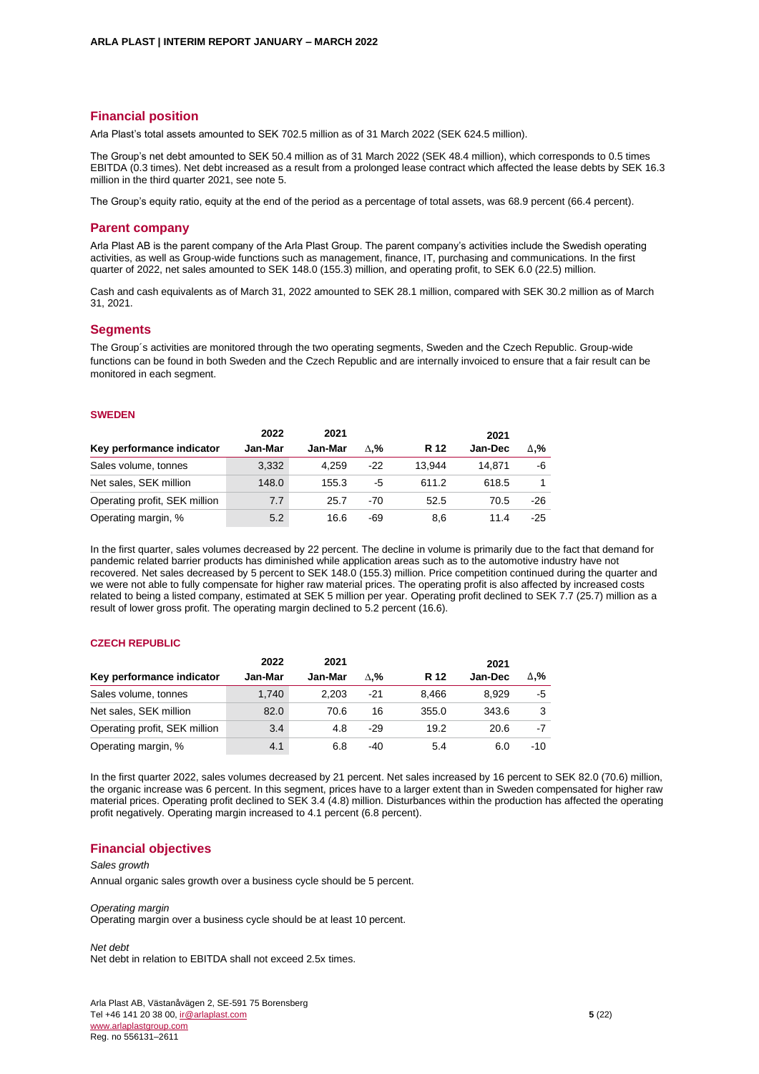### **Financial position**

Arla Plast's total assets amounted to SEK 702.5 million as of 31 March 2022 (SEK 624.5 million).

The Group's net debt amounted to SEK 50.4 million as of 31 March 2022 (SEK 48.4 million), which corresponds to 0.5 times EBITDA (0.3 times). Net debt increased as a result from a prolonged lease contract which affected the lease debts by SEK 16.3 million in the third quarter 2021, see note 5.

The Group's equity ratio, equity at the end of the period as a percentage of total assets, was 68.9 percent (66.4 percent).

#### **Parent company**

Arla Plast AB is the parent company of the Arla Plast Group. The parent company's activities include the Swedish operating activities, as well as Group-wide functions such as management, finance, IT, purchasing and communications. In the first quarter of 2022, net sales amounted to SEK 148.0 (155.3) million, and operating profit, to SEK 6.0 (22.5) million.

Cash and cash equivalents as of March 31, 2022 amounted to SEK 28.1 million, compared with SEK 30.2 million as of March 31, 2021.

### **Segments**

The Group´s activities are monitored through the two operating segments, Sweden and the Czech Republic. Group-wide functions can be found in both Sweden and the Czech Republic and are internally invoiced to ensure that a fair result can be monitored in each segment.

#### **SWEDEN**

|                               | 2022    | 2021    |       |        | 2021    |             |
|-------------------------------|---------|---------|-------|--------|---------|-------------|
| Key performance indicator     | Jan-Mar | Jan-Mar | Δ.%   | R 12   | Jan-Dec | $\Delta$ .% |
| Sales volume, tonnes          | 3.332   | 4.259   | $-22$ | 13.944 | 14.871  | -6          |
| Net sales, SEK million        | 148.0   | 155.3   | -5    | 611.2  | 618.5   |             |
| Operating profit, SEK million | 7.7     | 25.7    | $-70$ | 52.5   | 70.5    | -26         |
| Operating margin, %           | 5.2     | 16.6    | -69   | 8.6    | 11.4    | $-25$       |

In the first quarter, sales volumes decreased by 22 percent. The decline in volume is primarily due to the fact that demand for pandemic related barrier products has diminished while application areas such as to the automotive industry have not recovered. Net sales decreased by 5 percent to SEK 148.0 (155.3) million. Price competition continued during the quarter and we were not able to fully compensate for higher raw material prices. The operating profit is also affected by increased costs related to being a listed company, estimated at SEK 5 million per year. Operating profit declined to SEK 7.7 (25.7) million as a result of lower gross profit. The operating margin declined to 5.2 percent (16.6).

### **CZECH REPUBLIC**

|                               | 2022    | 2021    |             |       | 2021    |             |
|-------------------------------|---------|---------|-------------|-------|---------|-------------|
| Key performance indicator     | Jan-Mar | Jan-Mar | $\Delta$ .% | R 12  | Jan-Dec | $\Delta$ ,% |
| Sales volume, tonnes          | 1,740   | 2.203   | $-21$       | 8.466 | 8.929   | -5          |
| Net sales, SEK million        | 82.0    | 70.6    | 16          | 355.0 | 343.6   | 3           |
| Operating profit, SEK million | 3.4     | 4.8     | $-29$       | 19.2  | 20.6    | $-7$        |
| Operating margin, %           | 4.1     | 6.8     | $-40$       | 5.4   | 6.0     | $-10$       |

In the first quarter 2022, sales volumes decreased by 21 percent. Net sales increased by 16 percent to SEK 82.0 (70.6) million, the organic increase was 6 percent. In this segment, prices have to a larger extent than in Sweden compensated for higher raw material prices. Operating profit declined to SEK 3.4 (4.8) million. Disturbances within the production has affected the operating profit negatively. Operating margin increased to 4.1 percent (6.8 percent).

### **Financial objectives**

#### *Sales growth*

Annual organic sales growth over a business cycle should be 5 percent.

*Operating margin* 

Operating margin over a business cycle should be at least 10 percent.

*Net debt* Net debt in relation to EBITDA shall not exceed 2.5x times.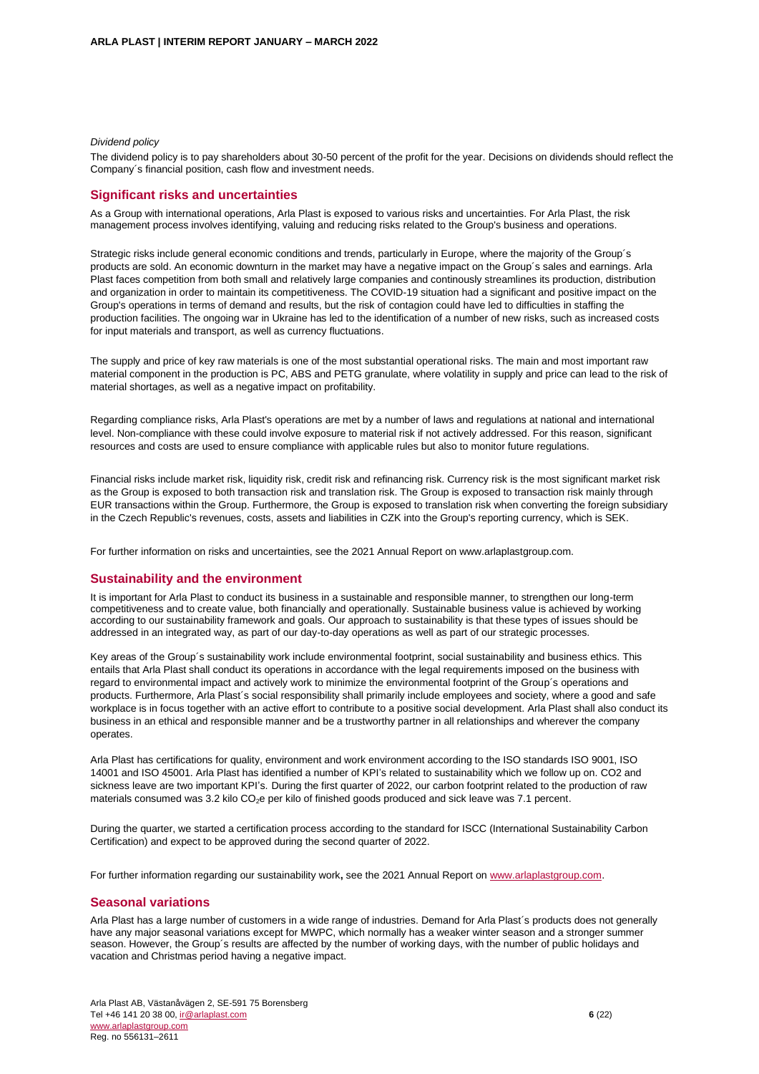#### *Dividend policy*

The dividend policy is to pay shareholders about 30-50 percent of the profit for the year. Decisions on dividends should reflect the Company´s financial position, cash flow and investment needs.

### **Significant risks and uncertainties**

As a Group with international operations, Arla Plast is exposed to various risks and uncertainties. For Arla Plast, the risk management process involves identifying, valuing and reducing risks related to the Group's business and operations.

Strategic risks include general economic conditions and trends, particularly in Europe, where the majority of the Group´s products are sold. An economic downturn in the market may have a negative impact on the Group's sales and earnings. Arla Plast faces competition from both small and relatively large companies and continously streamlines its production, distribution and organization in order to maintain its competitiveness. The COVID-19 situation had a significant and positive impact on the Group's operations in terms of demand and results, but the risk of contagion could have led to difficulties in staffing the production facilities. The ongoing war in Ukraine has led to the identification of a number of new risks, such as increased costs for input materials and transport, as well as currency fluctuations.

The supply and price of key raw materials is one of the most substantial operational risks. The main and most important raw material component in the production is PC, ABS and PETG granulate, where volatility in supply and price can lead to the risk of material shortages, as well as a negative impact on profitability.

Regarding compliance risks, Arla Plast's operations are met by a number of laws and regulations at national and international level. Non-compliance with these could involve exposure to material risk if not actively addressed. For this reason, significant resources and costs are used to ensure compliance with applicable rules but also to monitor future regulations.

Financial risks include market risk, liquidity risk, credit risk and refinancing risk. Currency risk is the most significant market risk as the Group is exposed to both transaction risk and translation risk. The Group is exposed to transaction risk mainly through EUR transactions within the Group. Furthermore, the Group is exposed to translation risk when converting the foreign subsidiary in the Czech Republic's revenues, costs, assets and liabilities in CZK into the Group's reporting currency, which is SEK.

For further information on risks and uncertainties, see the 2021 Annual Report on www.arlaplastgroup.com.

#### **Sustainability and the environment**

It is important for Arla Plast to conduct its business in a sustainable and responsible manner, to strengthen our long-term competitiveness and to create value, both financially and operationally. Sustainable business value is achieved by working according to our sustainability framework and goals. Our approach to sustainability is that these types of issues should be addressed in an integrated way, as part of our day-to-day operations as well as part of our strategic processes.

Key areas of the Group´s sustainability work include environmental footprint, social sustainability and business ethics. This entails that Arla Plast shall conduct its operations in accordance with the legal requirements imposed on the business with regard to environmental impact and actively work to minimize the environmental footprint of the Group´s operations and products. Furthermore, Arla Plast´s social responsibility shall primarily include employees and society, where a good and safe workplace is in focus together with an active effort to contribute to a positive social development. Arla Plast shall also conduct its business in an ethical and responsible manner and be a trustworthy partner in all relationships and wherever the company operates.

Arla Plast has certifications for quality, environment and work environment according to the ISO standards ISO 9001, ISO 14001 and ISO 45001. Arla Plast has identified a number of KPI's related to sustainability which we follow up on. CO2 and sickness leave are two important KPI's. During the first quarter of 2022, our carbon footprint related to the production of raw materials consumed was 3.2 kilo CO<sub>2</sub>e per kilo of finished goods produced and sick leave was 7.1 percent.

During the quarter, we started a certification process according to the standard for ISCC (International Sustainability Carbon Certification) and expect to be approved during the second quarter of 2022.

For further information regarding our sustainability work**,** see the 2021 Annual Report o[n www.arlaplastgroup.com.](http://www.arlaplastgroup.com/)

### **Seasonal variations**

Arla Plast has a large number of customers in a wide range of industries. Demand for Arla Plast´s products does not generally have any major seasonal variations except for MWPC, which normally has a weaker winter season and a stronger summer season. However, the Group´s results are affected by the number of working days, with the number of public holidays and vacation and Christmas period having a negative impact.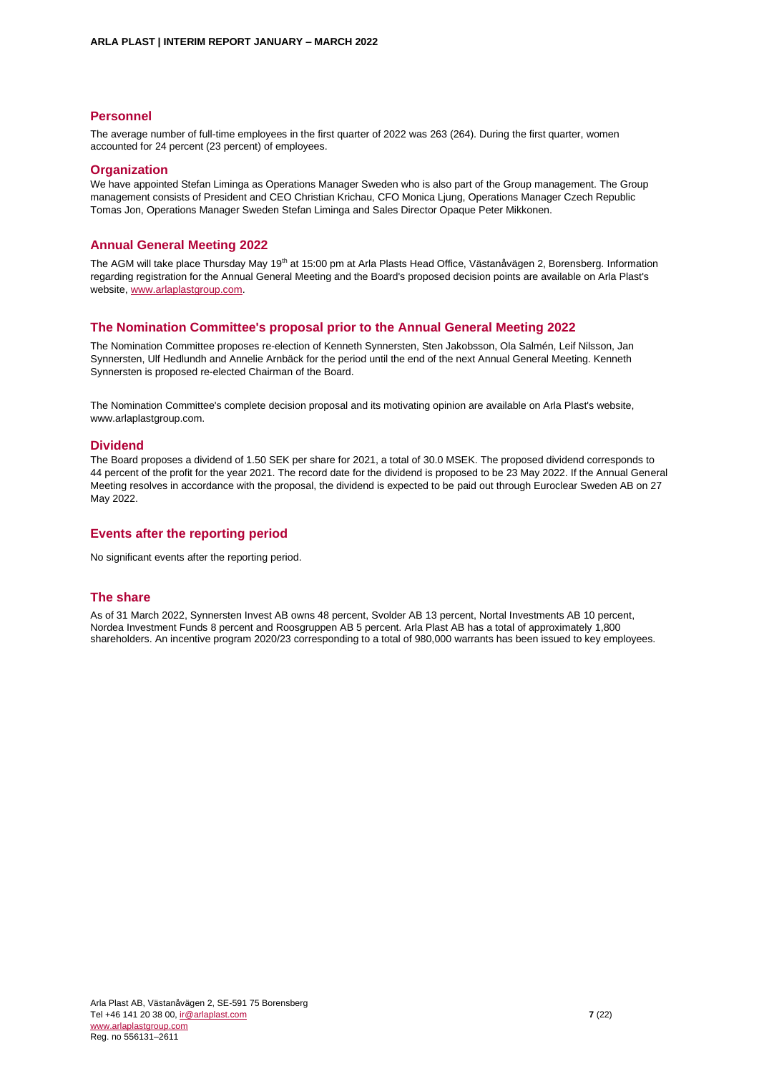### **Personnel**

The average number of full-time employees in the first quarter of 2022 was 263 (264). During the first quarter, women accounted for 24 percent (23 percent) of employees.

### **Organization**

We have appointed Stefan Liminga as Operations Manager Sweden who is also part of the Group management. The Group management consists of President and CEO Christian Krichau, CFO Monica Ljung, Operations Manager Czech Republic Tomas Jon, Operations Manager Sweden Stefan Liminga and Sales Director Opaque Peter Mikkonen.

### **Annual General Meeting 2022**

The AGM will take place Thursday May 19<sup>th</sup> at 15:00 pm at Arla Plasts Head Office, Västanåvägen 2, Borensberg. Information regarding registration for the Annual General Meeting and the Board's proposed decision points are available on Arla Plast's website[, www.arlaplastgroup.com.](http://www.arlaplastgroup.com/)

### **The Nomination Committee's proposal prior to the Annual General Meeting 2022**

The Nomination Committee proposes re-election of Kenneth Synnersten, Sten Jakobsson, Ola Salmén, Leif Nilsson, Jan Synnersten, Ulf Hedlundh and Annelie Arnbäck for the period until the end of the next Annual General Meeting. Kenneth Synnersten is proposed re-elected Chairman of the Board.

The Nomination Committee's complete decision proposal and its motivating opinion are available on Arla Plast's website, www.arlaplastgroup.com.

### **Dividend**

The Board proposes a dividend of 1.50 SEK per share for 2021, a total of 30.0 MSEK. The proposed dividend corresponds to 44 percent of the profit for the year 2021. The record date for the dividend is proposed to be 23 May 2022. If the Annual General Meeting resolves in accordance with the proposal, the dividend is expected to be paid out through Euroclear Sweden AB on 27 May 2022.

### **Events after the reporting period**

No significant events after the reporting period.

### **The share**

As of 31 March 2022, Synnersten Invest AB owns 48 percent, Svolder AB 13 percent, Nortal Investments AB 10 percent, Nordea Investment Funds 8 percent and Roosgruppen AB 5 percent. Arla Plast AB has a total of approximately 1,800 shareholders. An incentive program 2020/23 corresponding to a total of 980,000 warrants has been issued to key employees.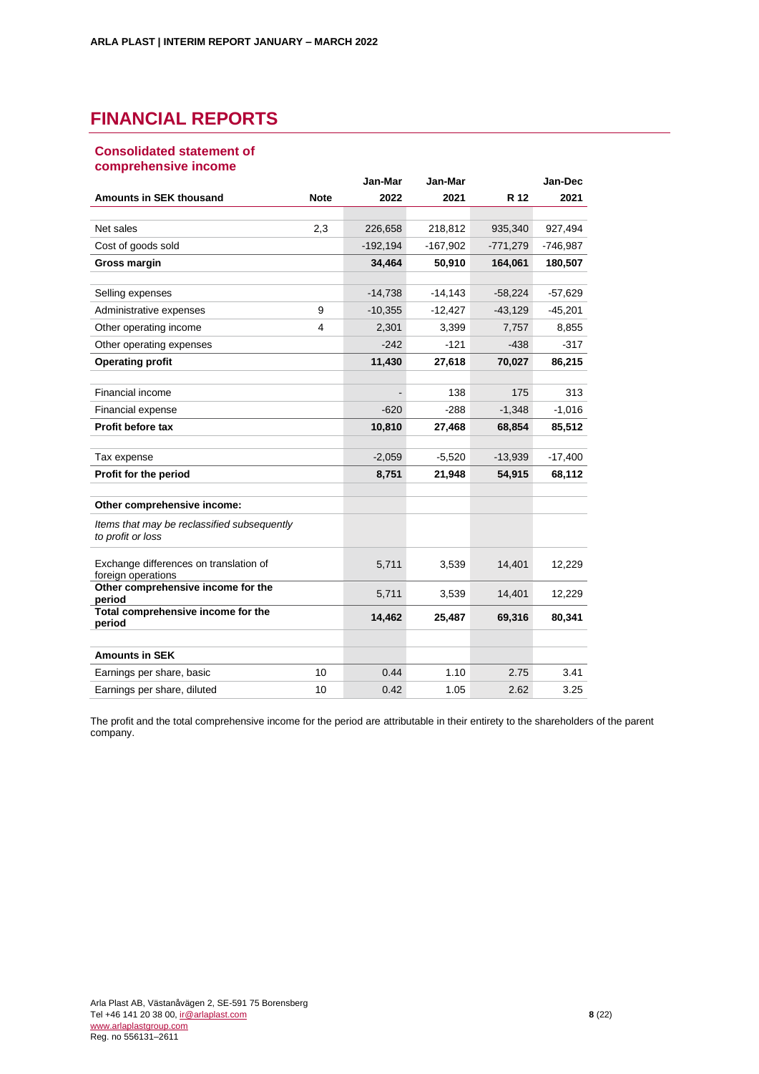# **FINANCIAL REPORTS**

### **Consolidated statement of comprehensive income**

|                                                                  |                | Jan-Mar    | Jan-Mar    |            | Jan-Dec    |
|------------------------------------------------------------------|----------------|------------|------------|------------|------------|
| <b>Amounts in SEK thousand</b>                                   | <b>Note</b>    | 2022       | 2021       | R 12       | 2021       |
|                                                                  |                |            |            |            |            |
| Net sales                                                        | 2,3            | 226,658    | 218,812    | 935,340    | 927,494    |
| Cost of goods sold                                               |                | $-192.194$ | $-167,902$ | $-771,279$ | $-746,987$ |
| <b>Gross margin</b>                                              |                | 34,464     | 50,910     | 164,061    | 180,507    |
| Selling expenses                                                 |                | $-14,738$  | $-14,143$  | $-58,224$  | $-57,629$  |
| Administrative expenses                                          | 9              | $-10,355$  | $-12,427$  | $-43,129$  | $-45,201$  |
| Other operating income                                           | $\overline{4}$ | 2,301      | 3,399      | 7,757      | 8,855      |
| Other operating expenses                                         |                | $-242$     | $-121$     | $-438$     | $-317$     |
| <b>Operating profit</b>                                          |                | 11,430     | 27,618     | 70,027     | 86,215     |
|                                                                  |                |            |            |            |            |
| Financial income                                                 |                |            | 138        | 175        | 313        |
| Financial expense                                                |                | $-620$     | $-288$     | $-1,348$   | $-1,016$   |
| Profit before tax                                                |                | 10,810     | 27,468     | 68,854     | 85,512     |
| Tax expense                                                      |                | $-2,059$   | $-5,520$   | $-13,939$  | $-17,400$  |
| Profit for the period                                            |                | 8,751      | 21,948     | 54,915     | 68,112     |
| Other comprehensive income:                                      |                |            |            |            |            |
| Items that may be reclassified subsequently<br>to profit or loss |                |            |            |            |            |
| Exchange differences on translation of<br>foreign operations     |                | 5,711      | 3,539      | 14,401     | 12,229     |
| Other comprehensive income for the<br>period                     |                | 5,711      | 3,539      | 14,401     | 12,229     |
| Total comprehensive income for the<br>period                     |                | 14,462     | 25,487     | 69,316     | 80,341     |
| <b>Amounts in SEK</b>                                            |                |            |            |            |            |
| Earnings per share, basic                                        | 10             | 0.44       | 1.10       | 2.75       | 3.41       |
| Earnings per share, diluted                                      | 10             | 0.42       | 1.05       | 2.62       | 3.25       |
|                                                                  |                |            |            |            |            |

The profit and the total comprehensive income for the period are attributable in their entirety to the shareholders of the parent company.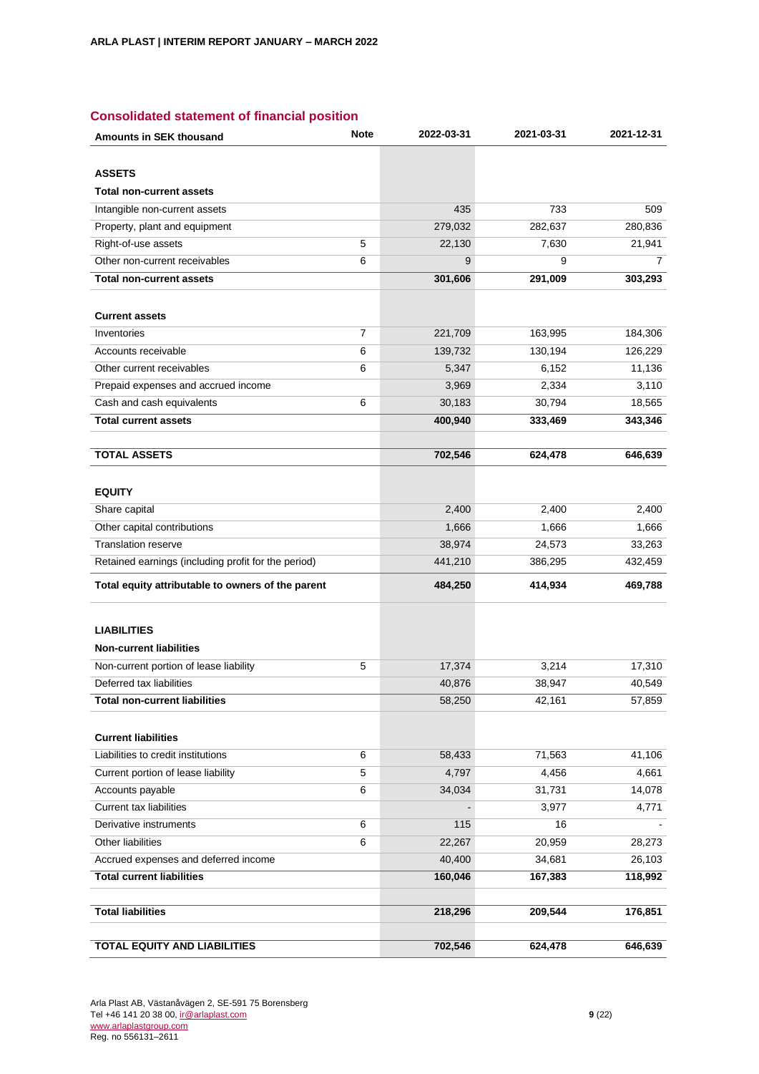### **Consolidated statement of financial position**

| <b>Amounts in SEK thousand</b>                      | <b>Note</b> | 2022-03-31 | 2021-03-31 | 2021-12-31 |
|-----------------------------------------------------|-------------|------------|------------|------------|
|                                                     |             |            |            |            |
| <b>ASSETS</b>                                       |             |            |            |            |
| <b>Total non-current assets</b>                     |             |            |            |            |
| Intangible non-current assets                       |             | 435        | 733        | 509        |
| Property, plant and equipment                       |             | 279,032    | 282,637    | 280,836    |
| Right-of-use assets                                 | 5           | 22,130     | 7,630      | 21,941     |
| Other non-current receivables                       | 6           | 9          | 9          | 7          |
| <b>Total non-current assets</b>                     |             | 301,606    | 291,009    | 303,293    |
| <b>Current assets</b>                               |             |            |            |            |
| Inventories                                         | 7           | 221,709    | 163,995    | 184,306    |
| Accounts receivable                                 | 6           | 139,732    | 130,194    | 126,229    |
| Other current receivables                           | 6           | 5,347      | 6,152      | 11,136     |
| Prepaid expenses and accrued income                 |             | 3,969      | 2,334      | 3,110      |
| Cash and cash equivalents                           | 6           | 30,183     | 30,794     | 18,565     |
| <b>Total current assets</b>                         |             | 400,940    | 333,469    | 343,346    |
| <b>TOTAL ASSETS</b>                                 |             | 702,546    | 624,478    | 646,639    |
|                                                     |             |            |            |            |
| <b>EQUITY</b>                                       |             |            |            |            |
| Share capital                                       |             | 2,400      | 2,400      | 2,400      |
| Other capital contributions                         |             | 1,666      | 1,666      | 1,666      |
| <b>Translation reserve</b>                          |             | 38,974     | 24,573     | 33,263     |
| Retained earnings (including profit for the period) |             | 441,210    | 386,295    | 432,459    |
| Total equity attributable to owners of the parent   |             | 484,250    | 414,934    | 469,788    |
|                                                     |             |            |            |            |
| <b>LIABILITIES</b>                                  |             |            |            |            |
| <b>Non-current liabilities</b>                      |             |            |            |            |
| Non-current portion of lease liability              | 5           | 17,374     | 3,214      | 17,310     |
| Deferred tax liabilities                            |             | 40,876     | 38,947     | 40,549     |
| <b>Total non-current liabilities</b>                |             | 58,250     | 42,161     | 57,859     |
| <b>Current liabilities</b>                          |             |            |            |            |
| Liabilities to credit institutions                  | 6           | 58,433     | 71,563     | 41,106     |
| Current portion of lease liability                  | 5           | 4,797      | 4,456      | 4,661      |
| Accounts payable                                    | 6           | 34,034     | 31,731     | 14,078     |
| <b>Current tax liabilities</b>                      |             |            | 3,977      | 4,771      |
| Derivative instruments                              | 6           | 115        | 16         |            |
| Other liabilities                                   | 6           | 22,267     | 20,959     | 28,273     |
| Accrued expenses and deferred income                |             | 40,400     | 34,681     | 26,103     |
| <b>Total current liabilities</b>                    |             | 160,046    | 167,383    | 118,992    |
|                                                     |             |            |            |            |
| <b>Total liabilities</b>                            |             | 218,296    | 209,544    | 176,851    |
| <b>TOTAL EQUITY AND LIABILITIES</b>                 |             | 702,546    | 624,478    | 646,639    |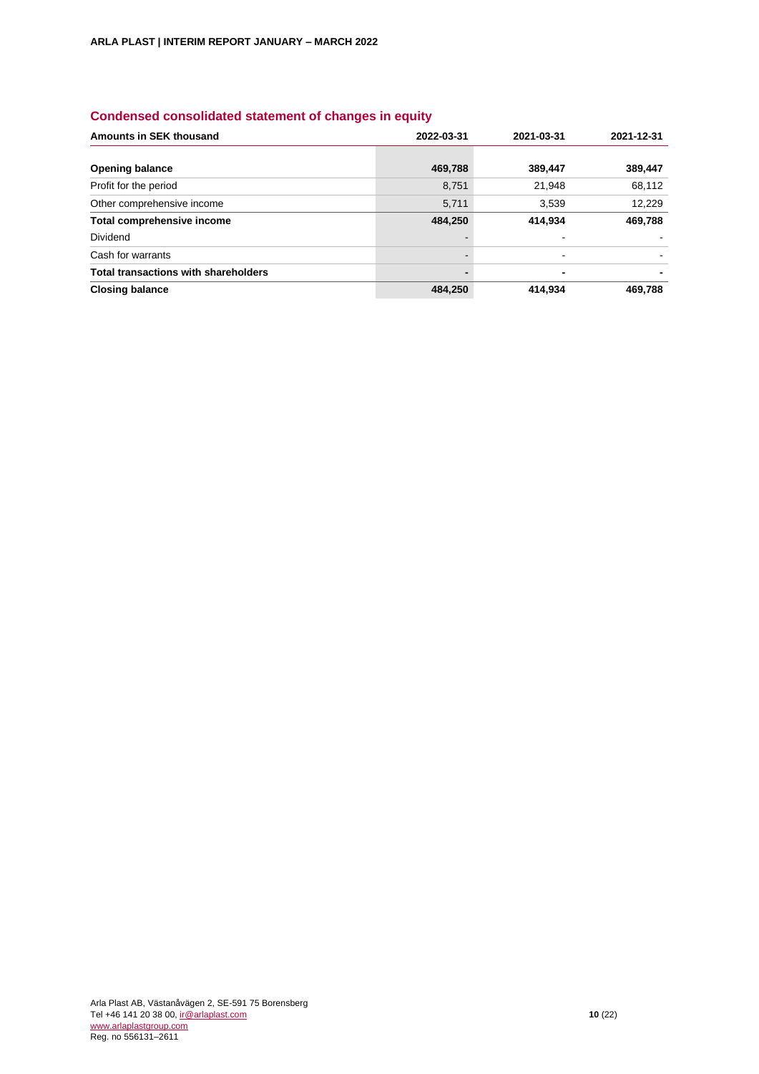### **Condensed consolidated statement of changes in equity**

| Amounts in SEK thousand                     | 2022-03-31 | 2021-03-31     | 2021-12-31 |
|---------------------------------------------|------------|----------------|------------|
| <b>Opening balance</b>                      | 469,788    | 389,447        | 389,447    |
| Profit for the period                       | 8,751      | 21,948         | 68,112     |
| Other comprehensive income                  | 5,711      | 3,539          | 12,229     |
| Total comprehensive income                  | 484,250    | 414.934        | 469,788    |
| Dividend                                    |            |                |            |
| Cash for warrants                           |            | $\blacksquare$ |            |
| <b>Total transactions with shareholders</b> |            |                |            |
| <b>Closing balance</b>                      | 484,250    | 414.934        | 469.788    |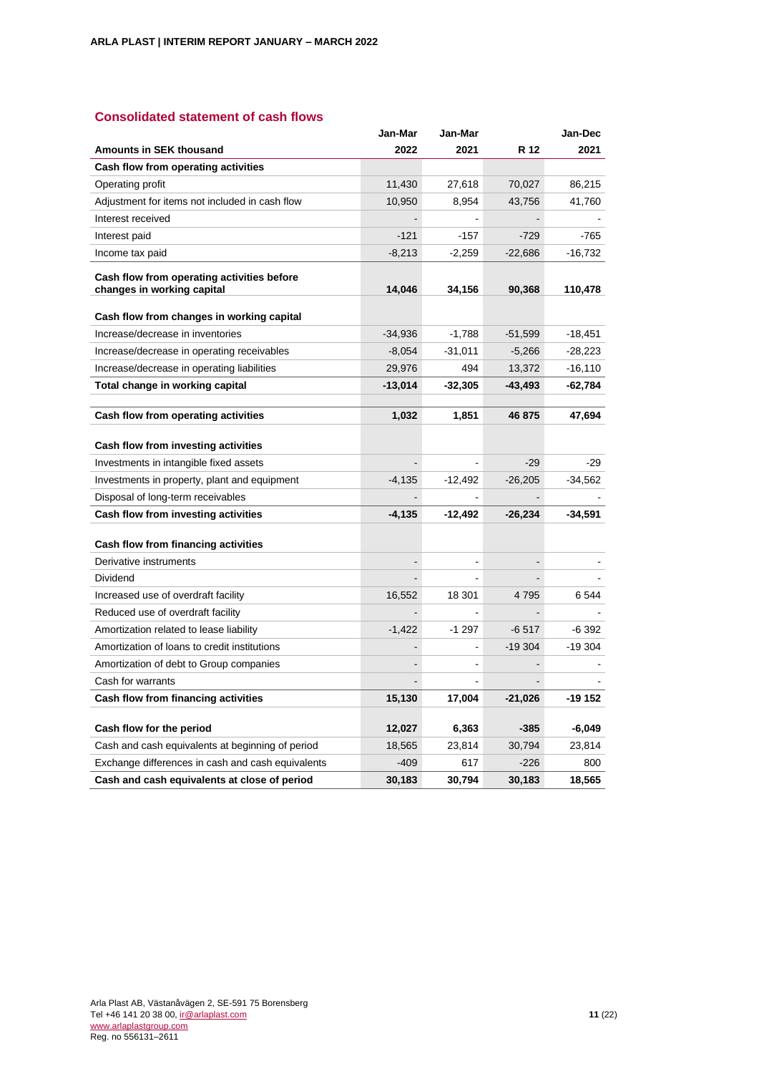### **Consolidated statement of cash flows**

|                                                                          | Jan-Mar                      | Jan-Mar   |           | Jan-Dec   |
|--------------------------------------------------------------------------|------------------------------|-----------|-----------|-----------|
| <b>Amounts in SEK thousand</b>                                           | 2022                         | 2021      | R 12      | 2021      |
| Cash flow from operating activities                                      |                              |           |           |           |
| Operating profit                                                         | 11,430                       | 27,618    | 70,027    | 86,215    |
| Adjustment for items not included in cash flow                           | 10,950                       | 8,954     | 43,756    | 41,760    |
| Interest received                                                        |                              |           |           |           |
| Interest paid                                                            | $-121$                       | -157      | $-729$    | -765      |
| Income tax paid                                                          | $-8,213$                     | $-2,259$  | $-22,686$ | $-16,732$ |
| Cash flow from operating activities before<br>changes in working capital | 14,046                       | 34,156    | 90,368    | 110,478   |
| Cash flow from changes in working capital                                |                              |           |           |           |
| Increase/decrease in inventories                                         | $-34,936$                    | $-1,788$  | $-51,599$ | -18,451   |
| Increase/decrease in operating receivables                               | $-8,054$                     | $-31,011$ | $-5,266$  | -28,223   |
| Increase/decrease in operating liabilities                               | 29,976                       | 494       | 13,372    | -16,110   |
| Total change in working capital                                          | $-13,014$                    | -32,305   | $-43,493$ | -62,784   |
|                                                                          |                              |           |           |           |
| Cash flow from operating activities                                      | 1,032                        | 1,851     | 46 875    | 47,694    |
| Cash flow from investing activities                                      |                              |           |           |           |
| Investments in intangible fixed assets                                   |                              |           | $-29$     | -29       |
| Investments in property, plant and equipment                             | $-4,135$                     | $-12,492$ | $-26,205$ | $-34,562$ |
| Disposal of long-term receivables                                        |                              |           | L.        |           |
| Cash flow from investing activities                                      | -4,135                       | -12,492   | $-26,234$ | $-34,591$ |
| Cash flow from financing activities                                      |                              |           |           |           |
| Derivative instruments                                                   | $\qquad \qquad \blacksquare$ |           | -         |           |
| Dividend                                                                 |                              |           |           |           |
| Increased use of overdraft facility                                      | 16,552                       | 18 301    | 4795      | 6 544     |
| Reduced use of overdraft facility                                        |                              |           |           |           |
| Amortization related to lease liability                                  | $-1,422$                     | $-1297$   | $-6517$   | $-6392$   |
| Amortization of loans to credit institutions                             | $\overline{a}$               |           | $-19304$  | -19 304   |
| Amortization of debt to Group companies                                  | $\blacksquare$               |           |           |           |
| Cash for warrants                                                        |                              |           |           |           |
| Cash flow from financing activities                                      | 15,130                       | 17,004    | $-21,026$ | -19 152   |
| Cash flow for the period                                                 | 12,027                       | 6,363     | -385      | $-6,049$  |
| Cash and cash equivalents at beginning of period                         | 18,565                       | 23,814    | 30,794    | 23,814    |
| Exchange differences in cash and cash equivalents                        | $-409$                       | 617       | $-226$    | 800       |
| Cash and cash equivalents at close of period                             | 30,183                       | 30,794    | 30,183    | 18,565    |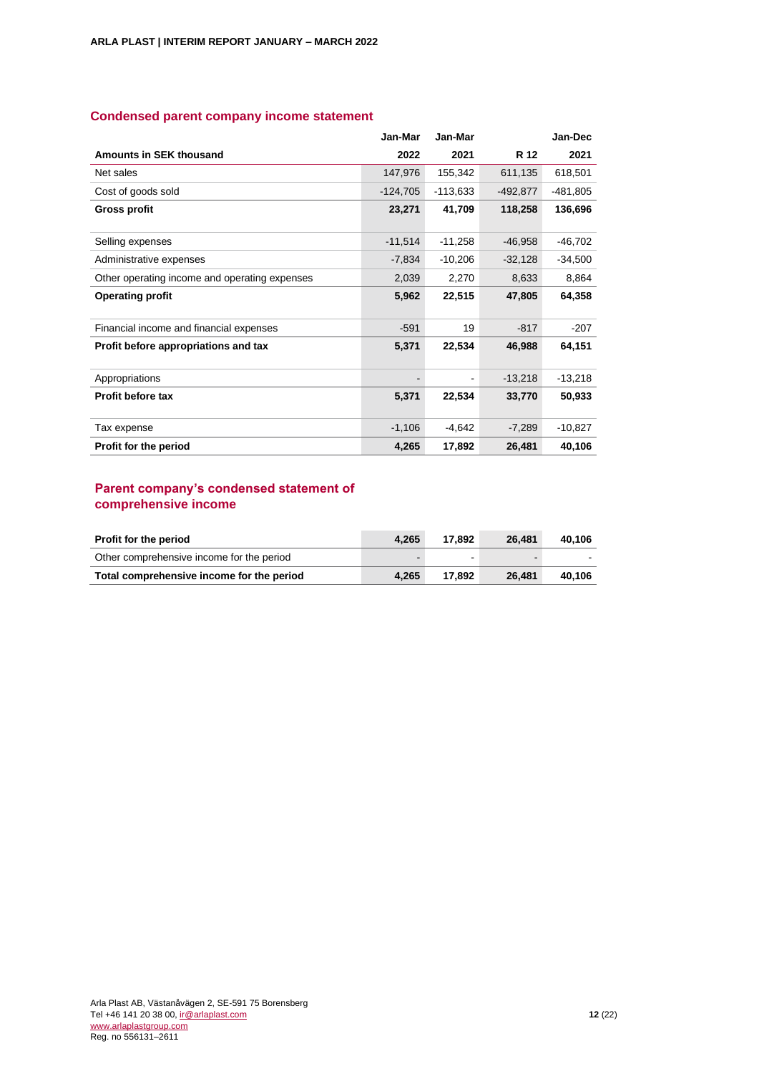### **Condensed parent company income statement**

|                                               | Jan-Mar    | Jan-Mar    |            | Jan-Dec   |
|-----------------------------------------------|------------|------------|------------|-----------|
| Amounts in SEK thousand                       | 2022       | 2021       | R 12       | 2021      |
| Net sales                                     | 147,976    | 155,342    | 611,135    | 618,501   |
| Cost of goods sold                            | $-124,705$ | $-113,633$ | $-492,877$ | -481,805  |
| <b>Gross profit</b>                           | 23,271     | 41,709     | 118,258    | 136,696   |
| Selling expenses                              | $-11,514$  | $-11,258$  | $-46,958$  | $-46,702$ |
| Administrative expenses                       | $-7,834$   | $-10,206$  | $-32,128$  | $-34,500$ |
| Other operating income and operating expenses | 2,039      | 2,270      | 8,633      | 8,864     |
| <b>Operating profit</b>                       | 5,962      | 22,515     | 47,805     | 64,358    |
| Financial income and financial expenses       | $-591$     | 19         | $-817$     | $-207$    |
| Profit before appropriations and tax          | 5,371      | 22,534     | 46,988     | 64,151    |
| Appropriations                                |            |            | $-13,218$  | $-13,218$ |
| <b>Profit before tax</b>                      | 5,371      | 22,534     | 33,770     | 50,933    |
| Tax expense                                   | $-1,106$   | $-4,642$   | $-7,289$   | $-10,827$ |
| Profit for the period                         | 4,265      | 17,892     | 26,481     | 40,106    |

### **Parent company's condensed statement of comprehensive income**

| <b>Profit for the period</b>              | 4.265                    | 17.892 | 26.481 | 40.106 |
|-------------------------------------------|--------------------------|--------|--------|--------|
| Other comprehensive income for the period | $\overline{\phantom{a}}$ | $\sim$ |        |        |
| Total comprehensive income for the period | 4.265                    | 17.892 | 26.481 | 40.106 |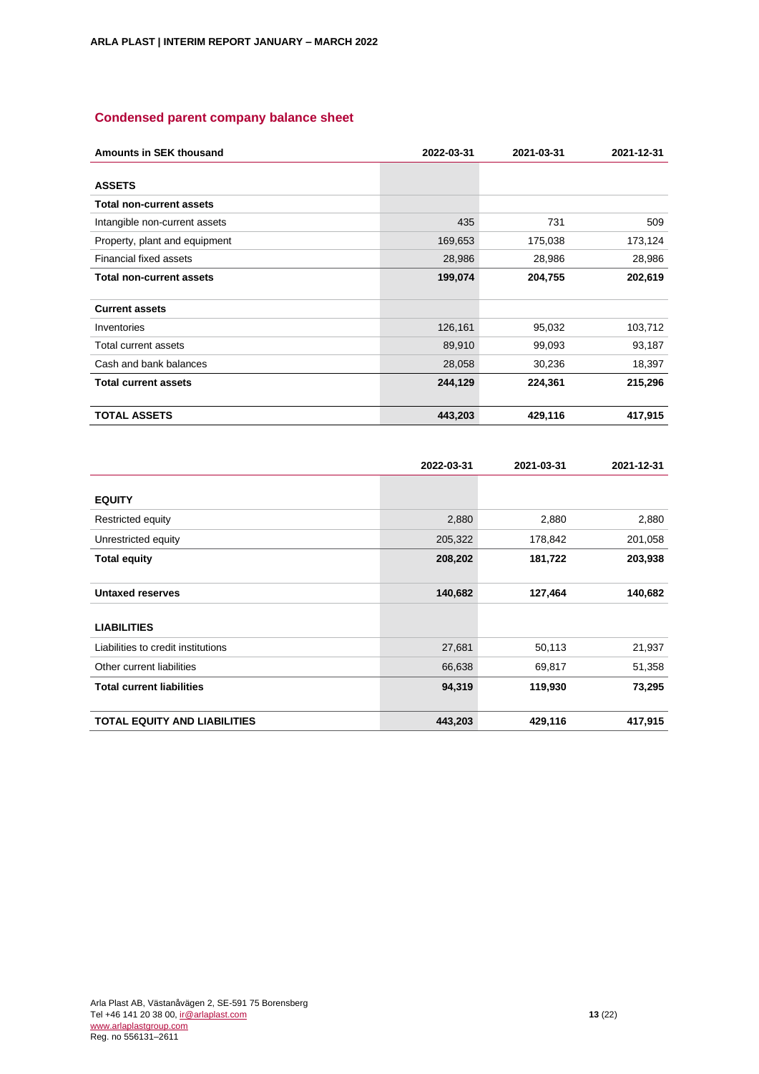### **Condensed parent company balance sheet**

| <b>Amounts in SEK thousand</b>  | 2022-03-31 | 2021-03-31 | 2021-12-31 |
|---------------------------------|------------|------------|------------|
|                                 |            |            |            |
| <b>ASSETS</b>                   |            |            |            |
| <b>Total non-current assets</b> |            |            |            |
| Intangible non-current assets   | 435        | 731        | 509        |
| Property, plant and equipment   | 169,653    | 175,038    | 173,124    |
| Financial fixed assets          | 28,986     | 28,986     | 28,986     |
| <b>Total non-current assets</b> | 199,074    | 204,755    | 202,619    |
| <b>Current assets</b>           |            |            |            |
| Inventories                     | 126,161    | 95,032     | 103,712    |
| Total current assets            | 89,910     | 99,093     | 93,187     |
| Cash and bank balances          | 28,058     | 30,236     | 18,397     |
| <b>Total current assets</b>     | 244,129    | 224,361    | 215,296    |
| <b>TOTAL ASSETS</b>             | 443,203    | 429,116    | 417,915    |

|                                     | 2022-03-31 | 2021-03-31 | 2021-12-31 |
|-------------------------------------|------------|------------|------------|
|                                     |            |            |            |
| <b>EQUITY</b>                       |            |            |            |
| Restricted equity                   | 2,880      | 2,880      | 2,880      |
| Unrestricted equity                 | 205,322    | 178,842    | 201,058    |
| <b>Total equity</b>                 | 208,202    | 181,722    | 203,938    |
|                                     |            |            |            |
| <b>Untaxed reserves</b>             | 140,682    | 127,464    | 140,682    |
|                                     |            |            |            |
| <b>LIABILITIES</b>                  |            |            |            |
| Liabilities to credit institutions  | 27,681     | 50,113     | 21,937     |
| Other current liabilities           | 66,638     | 69,817     | 51,358     |
| <b>Total current liabilities</b>    | 94,319     | 119,930    | 73,295     |
|                                     |            |            |            |
| <b>TOTAL EQUITY AND LIABILITIES</b> | 443,203    | 429,116    | 417,915    |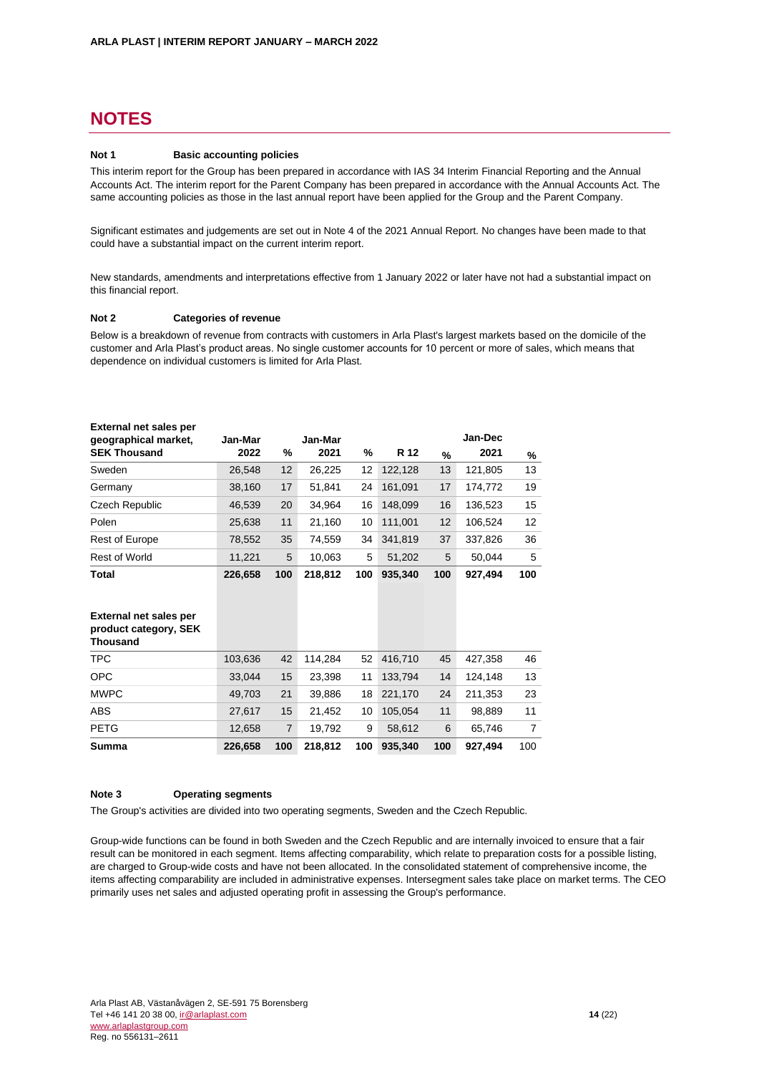## **NOTES**

### **Not 1 Basic accounting policies**

This interim report for the Group has been prepared in accordance with IAS 34 Interim Financial Reporting and the Annual Accounts Act. The interim report for the Parent Company has been prepared in accordance with the Annual Accounts Act. The same accounting policies as those in the last annual report have been applied for the Group and the Parent Company.

Significant estimates and judgements are set out in Note 4 of the 2021 Annual Report. No changes have been made to that could have a substantial impact on the current interim report.

New standards, amendments and interpretations effective from 1 January 2022 or later have not had a substantial impact on this financial report.

#### **Not 2 Categories of revenue**

Below is a breakdown of revenue from contracts with customers in Arla Plast's largest markets based on the domicile of the customer and Arla Plast's product areas. No single customer accounts for 10 percent or more of sales, which means that dependence on individual customers is limited for Arla Plast.

| <b>External net sales per</b> |         |                |         |     |         |     |         |     |
|-------------------------------|---------|----------------|---------|-----|---------|-----|---------|-----|
| geographical market,          | Jan-Mar |                | Jan-Mar |     |         |     | Jan-Dec |     |
| <b>SEK Thousand</b>           | 2022    | %              | 2021    | %   | R 12    | %   | 2021    | %   |
| Sweden                        | 26,548  | 12             | 26,225  | 12  | 122,128 | 13  | 121,805 | 13  |
| Germany                       | 38,160  | 17             | 51,841  | 24  | 161,091 | 17  | 174,772 | 19  |
| Czech Republic                | 46,539  | 20             | 34,964  | 16  | 148,099 | 16  | 136,523 | 15  |
| Polen                         | 25,638  | 11             | 21,160  | 10  | 111,001 | 12  | 106,524 | 12  |
| Rest of Europe                | 78,552  | 35             | 74,559  | 34  | 341,819 | 37  | 337,826 | 36  |
| <b>Rest of World</b>          | 11,221  | 5              | 10,063  | 5   | 51,202  | 5   | 50,044  | 5   |
| Total                         | 226,658 | 100            | 218,812 | 100 | 935,340 | 100 | 927,494 | 100 |
|                               |         |                |         |     |         |     |         |     |
| <b>External net sales per</b> |         |                |         |     |         |     |         |     |
| product category, SEK         |         |                |         |     |         |     |         |     |
| <b>Thousand</b>               |         |                |         |     |         |     |         |     |
| <b>TPC</b>                    | 103,636 | 42             | 114,284 | 52  | 416,710 | 45  | 427,358 | 46  |
| <b>OPC</b>                    | 33,044  | 15             | 23,398  | 11  | 133,794 | 14  | 124,148 | 13  |
| <b>MWPC</b>                   | 49.703  | 21             | 39,886  | 18  | 221,170 | 24  | 211,353 | 23  |
| ABS                           | 27,617  | 15             | 21,452  | 10  | 105,054 | 11  | 98,889  | 11  |
| <b>PETG</b>                   | 12,658  | $\overline{7}$ | 19,792  | 9   | 58,612  | 6   | 65,746  | 7   |
| <b>Summa</b>                  | 226,658 | 100            | 218,812 | 100 | 935,340 | 100 | 927,494 | 100 |

#### **Note 3 Operating segments**

The Group's activities are divided into two operating segments, Sweden and the Czech Republic.

Group-wide functions can be found in both Sweden and the Czech Republic and are internally invoiced to ensure that a fair result can be monitored in each segment. Items affecting comparability, which relate to preparation costs for a possible listing, are charged to Group-wide costs and have not been allocated. In the consolidated statement of comprehensive income, the items affecting comparability are included in administrative expenses. Intersegment sales take place on market terms. The CEO primarily uses net sales and adjusted operating profit in assessing the Group's performance.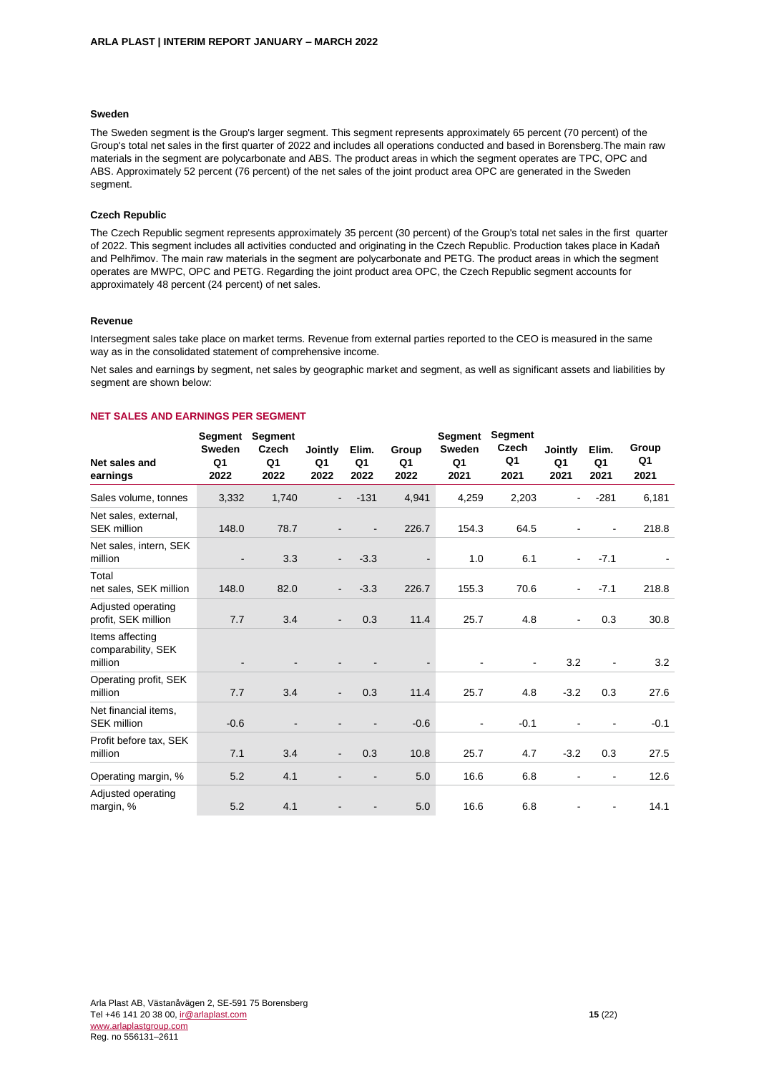#### **Sweden**

The Sweden segment is the Group's larger segment. This segment represents approximately 65 percent (70 percent) of the Group's total net sales in the first quarter of 2022 and includes all operations conducted and based in Borensberg.The main raw materials in the segment are polycarbonate and ABS. The product areas in which the segment operates are TPC, OPC and ABS. Approximately 52 percent (76 percent) of the net sales of the joint product area OPC are generated in the Sweden segment.

### **Czech Republic**

The Czech Republic segment represents approximately 35 percent (30 percent) of the Group's total net sales in the first quarter of 2022. This segment includes all activities conducted and originating in the Czech Republic. Production takes place in Kadaň and Pelhřimov. The main raw materials in the segment are polycarbonate and PETG. The product areas in which the segment operates are MWPC, OPC and PETG. Regarding the joint product area OPC, the Czech Republic segment accounts for approximately 48 percent (24 percent) of net sales.

#### **Revenue**

Intersegment sales take place on market terms. Revenue from external parties reported to the CEO is measured in the same way as in the consolidated statement of comprehensive income.

Net sales and earnings by segment, net sales by geographic market and segment, as well as significant assets and liabilities by segment are shown below:

### **NET SALES AND EARNINGS PER SEGMENT**

| Net sales and<br>earnings                        | Segment<br><b>Sweden</b><br>Q <sub>1</sub><br>2022 | <b>Segment</b><br>Czech<br>Q1<br>2022 | Jointly<br>Q <sub>1</sub><br>2022 | Elim.<br>Q <sub>1</sub><br>2022 | Group<br>Q1<br>2022 | <b>Segment</b><br><b>Sweden</b><br>Q1<br>2021 | <b>Segment</b><br><b>Czech</b><br>Q <sub>1</sub><br>2021 | Jointly<br>Q1<br>2021    | Elim.<br>Q <sub>1</sub><br>2021 | Group<br>Q1<br>2021 |
|--------------------------------------------------|----------------------------------------------------|---------------------------------------|-----------------------------------|---------------------------------|---------------------|-----------------------------------------------|----------------------------------------------------------|--------------------------|---------------------------------|---------------------|
| Sales volume, tonnes                             | 3,332                                              | 1,740                                 |                                   | $-131$                          | 4,941               | 4,259                                         | 2,203                                                    | $\overline{\phantom{a}}$ | $-281$                          | 6,181               |
| Net sales, external,<br><b>SEK million</b>       | 148.0                                              | 78.7                                  |                                   |                                 | 226.7               | 154.3                                         | 64.5                                                     |                          |                                 | 218.8               |
| Net sales, intern, SEK<br>million                |                                                    | 3.3                                   |                                   | $-3.3$                          |                     | 1.0                                           | 6.1                                                      | $\blacksquare$           | $-7.1$                          |                     |
| Total<br>net sales, SEK million                  | 148.0                                              | 82.0                                  |                                   | $-3.3$                          | 226.7               | 155.3                                         | 70.6                                                     |                          | $-7.1$                          | 218.8               |
| Adjusted operating<br>profit, SEK million        | 7.7                                                | 3.4                                   |                                   | 0.3                             | 11.4                | 25.7                                          | 4.8                                                      | $\blacksquare$           | 0.3                             | 30.8                |
| Items affecting<br>comparability, SEK<br>million |                                                    |                                       |                                   |                                 |                     |                                               |                                                          | 3.2                      |                                 | 3.2                 |
| Operating profit, SEK<br>million                 | 7.7                                                | 3.4                                   |                                   | 0.3                             | 11.4                | 25.7                                          | 4.8                                                      | $-3.2$                   | 0.3                             | 27.6                |
| Net financial items,<br><b>SEK million</b>       | $-0.6$                                             |                                       |                                   |                                 | $-0.6$              | ۰                                             | $-0.1$                                                   |                          |                                 | $-0.1$              |
| Profit before tax, SEK<br>million                | 7.1                                                | 3.4                                   |                                   | 0.3                             | 10.8                | 25.7                                          | 4.7                                                      | $-3.2$                   | 0.3                             | 27.5                |
| Operating margin, %                              | 5.2                                                | 4.1                                   |                                   | $\overline{\phantom{a}}$        | 5.0                 | 16.6                                          | 6.8                                                      |                          |                                 | 12.6                |
| Adjusted operating<br>margin, %                  | 5.2                                                | 4.1                                   |                                   |                                 | 5.0                 | 16.6                                          | 6.8                                                      |                          |                                 | 14.1                |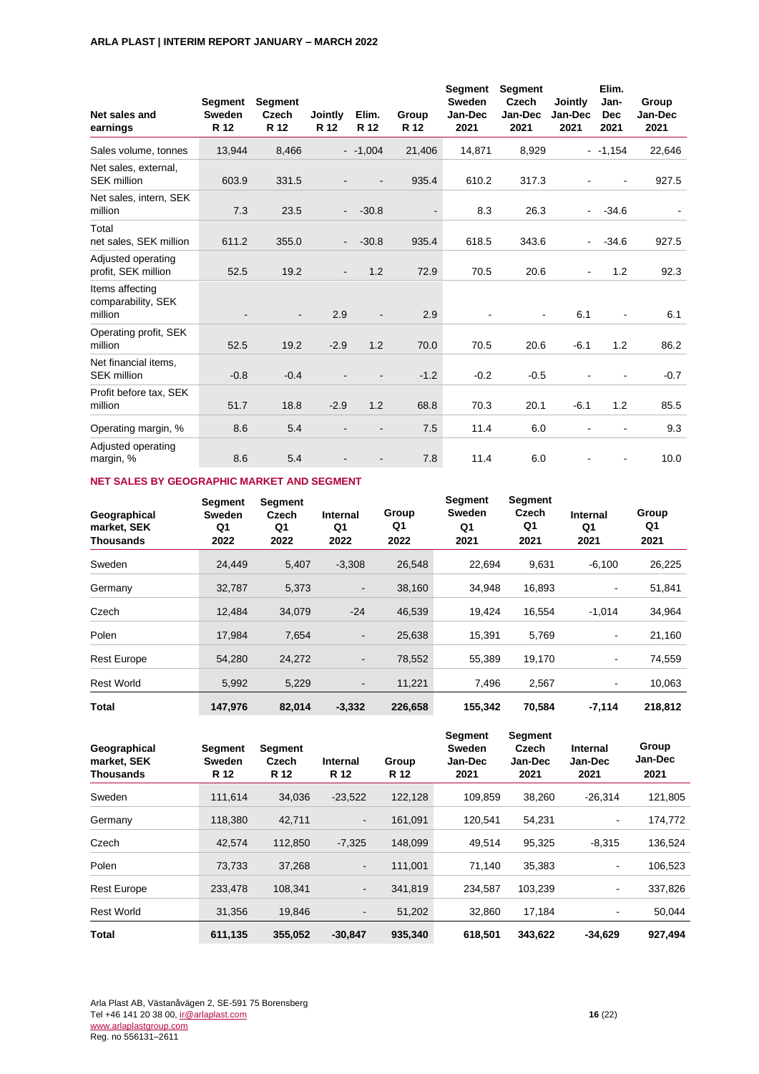### **ARLA PLAST | INTERIM REPORT JANUARY – MARCH 2022**

| Net sales and<br>earnings                        | Segment<br><b>Sweden</b><br>R 12 | <b>Segment</b><br><b>Czech</b><br>R 12 | Jointly<br>R 12 | Elim.<br>R 12 | Group<br>R 12 | <b>Segment</b><br><b>Sweden</b><br>Jan-Dec<br>2021 | <b>Segment</b><br>Czech<br>Jan-Dec<br>2021 | Jointly<br>Jan-Dec<br>2021 | Elim.<br>Jan-<br><b>Dec</b><br>2021 | Group<br>Jan-Dec<br>2021 |
|--------------------------------------------------|----------------------------------|----------------------------------------|-----------------|---------------|---------------|----------------------------------------------------|--------------------------------------------|----------------------------|-------------------------------------|--------------------------|
| Sales volume, tonnes                             | 13,944                           | 8,466                                  |                 | $-1.004$      | 21,406        | 14,871                                             | 8,929                                      |                            | $-1,154$                            | 22,646                   |
| Net sales, external,<br><b>SEK million</b>       | 603.9                            | 331.5                                  |                 |               | 935.4         | 610.2                                              | 317.3                                      |                            |                                     | 927.5                    |
| Net sales, intern, SEK<br>million                | 7.3                              | 23.5                                   |                 | $-30.8$       |               | 8.3                                                | 26.3                                       |                            | $-34.6$                             |                          |
| Total<br>net sales, SEK million                  | 611.2                            | 355.0                                  |                 | $-30.8$       | 935.4         | 618.5                                              | 343.6                                      |                            | $-34.6$                             | 927.5                    |
| Adjusted operating<br>profit, SEK million        | 52.5                             | 19.2                                   |                 | 1.2           | 72.9          | 70.5                                               | 20.6                                       | ۰                          | 1.2                                 | 92.3                     |
| Items affecting<br>comparability, SEK<br>million |                                  |                                        | 2.9             |               | 2.9           |                                                    |                                            | 6.1                        | $\blacksquare$                      | 6.1                      |
| Operating profit, SEK<br>million                 | 52.5                             | 19.2                                   | $-2.9$          | 1.2           | 70.0          | 70.5                                               | 20.6                                       | $-6.1$                     | 1.2                                 | 86.2                     |
| Net financial items,<br><b>SEK million</b>       | $-0.8$                           | $-0.4$                                 |                 |               | $-1.2$        | $-0.2$                                             | $-0.5$                                     |                            |                                     | $-0.7$                   |
| Profit before tax, SEK<br>million                | 51.7                             | 18.8                                   | $-2.9$          | 1.2           | 68.8          | 70.3                                               | 20.1                                       | $-6.1$                     | 1.2                                 | 85.5                     |
| Operating margin, %                              | 8.6                              | 5.4                                    |                 |               | 7.5           | 11.4                                               | 6.0                                        |                            |                                     | 9.3                      |
| Adjusted operating<br>margin, %                  | 8.6                              | 5.4                                    |                 |               | 7.8           | 11.4                                               | 6.0                                        |                            |                                     | 10.0                     |

### **NET SALES BY GEOGRAPHIC MARKET AND SEGMENT**

| Geographical<br>market. SEK<br>Thousands | Segment<br><b>Sweden</b><br>Q1<br>2022 | <b>Segment</b><br>Czech<br>Q1<br>2022 | Internal<br>Q1<br>2022 | Group<br>Q1<br>2022 | Segment<br>Sweden<br>Q1<br>2021 | Segment<br>Czech<br>Q1<br>2021 | <b>Internal</b><br>Q1<br>2021 | Group<br>Q1<br>2021 |
|------------------------------------------|----------------------------------------|---------------------------------------|------------------------|---------------------|---------------------------------|--------------------------------|-------------------------------|---------------------|
| Sweden                                   | 24,449                                 | 5,407                                 | $-3,308$               | 26,548              | 22,694                          | 9,631                          | $-6,100$                      | 26,225              |
| Germany                                  | 32,787                                 | 5,373                                 | $\blacksquare$         | 38,160              | 34,948                          | 16,893                         |                               | 51,841              |
| Czech                                    | 12,484                                 | 34,079                                | $-24$                  | 46,539              | 19,424                          | 16,554                         | $-1,014$                      | 34,964              |
| Polen                                    | 17,984                                 | 7,654                                 | $\blacksquare$         | 25,638              | 15,391                          | 5,769                          |                               | 21,160              |
| <b>Rest Europe</b>                       | 54,280                                 | 24,272                                |                        | 78,552              | 55,389                          | 19,170                         |                               | 74,559              |
| <b>Rest World</b>                        | 5,992                                  | 5,229                                 |                        | 11,221              | 7,496                           | 2,567                          |                               | 10,063              |
| <b>Total</b>                             | 147,976                                | 82.014                                | $-3,332$               | 226,658             | 155.342                         | 70.584                         | $-7,114$                      | 218,812             |

| Geographical<br>market, SEK<br><b>Thousands</b> | Segment<br>Sweden<br>R 12 | Segment<br>Czech<br>R 12 | Internal<br>R 12         | Group<br>R 12 | <b>Segment</b><br>Sweden<br>Jan-Dec<br>2021 | <b>Segment</b><br>Czech<br>Jan-Dec<br>2021 | Internal<br>Jan-Dec<br>2021 | Group<br>Jan-Dec<br>2021 |
|-------------------------------------------------|---------------------------|--------------------------|--------------------------|---------------|---------------------------------------------|--------------------------------------------|-----------------------------|--------------------------|
| Sweden                                          | 111,614                   | 34,036                   | $-23,522$                | 122,128       | 109.859                                     | 38,260                                     | $-26,314$                   | 121,805                  |
| Germany                                         | 118,380                   | 42,711                   | $\blacksquare$           | 161,091       | 120,541                                     | 54,231                                     | $\blacksquare$              | 174,772                  |
| Czech                                           | 42,574                    | 112,850                  | $-7,325$                 | 148,099       | 49,514                                      | 95,325                                     | $-8,315$                    | 136,524                  |
| Polen                                           | 73,733                    | 37,268                   | $\overline{\phantom{a}}$ | 111,001       | 71.140                                      | 35,383                                     | $\blacksquare$              | 106,523                  |
| <b>Rest Europe</b>                              | 233,478                   | 108,341                  | $\blacksquare$           | 341,819       | 234.587                                     | 103,239                                    | $\overline{\phantom{a}}$    | 337,826                  |
| <b>Rest World</b>                               | 31,356                    | 19,846                   | $\blacksquare$           | 51,202        | 32.860                                      | 17.184                                     |                             | 50,044                   |
| <b>Total</b>                                    | 611,135                   | 355.052                  | $-30.847$                | 935.340       | 618,501                                     | 343,622                                    | $-34.629$                   | 927,494                  |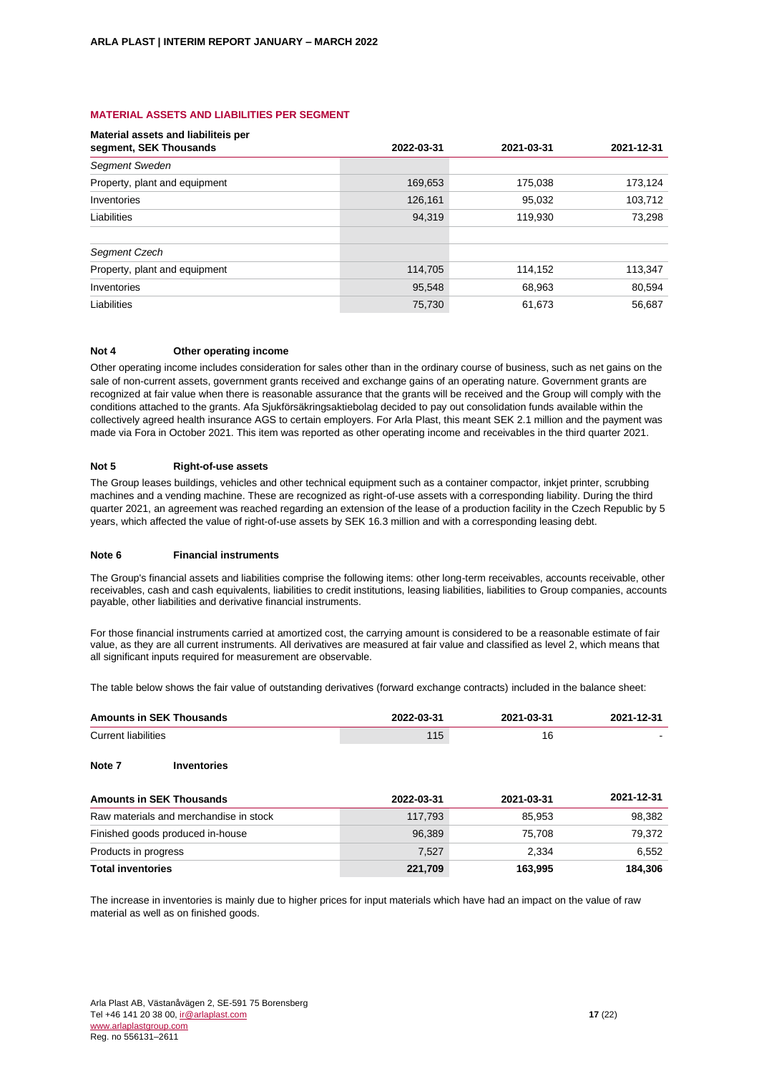### **MATERIAL ASSETS AND LIABILITIES PER SEGMENT**

| Material assets and liabiliteis per<br>segment, SEK Thousands | 2022-03-31 | 2021-03-31 | 2021-12-31 |
|---------------------------------------------------------------|------------|------------|------------|
| Segment Sweden                                                |            |            |            |
| Property, plant and equipment                                 | 169,653    | 175,038    | 173,124    |
| Inventories                                                   | 126,161    | 95,032     | 103,712    |
| Liabilities                                                   | 94,319     | 119,930    | 73,298     |
| Segment Czech                                                 |            |            |            |
| Property, plant and equipment                                 | 114,705    | 114,152    | 113,347    |
| Inventories                                                   | 95,548     | 68,963     | 80,594     |
| Liabilities                                                   | 75,730     | 61,673     | 56,687     |

### **Not 4 Other operating income**

Other operating income includes consideration for sales other than in the ordinary course of business, such as net gains on the sale of non-current assets, government grants received and exchange gains of an operating nature. Government grants are recognized at fair value when there is reasonable assurance that the grants will be received and the Group will comply with the conditions attached to the grants. Afa Sjukförsäkringsaktiebolag decided to pay out consolidation funds available within the collectively agreed health insurance AGS to certain employers. For Arla Plast, this meant SEK 2.1 million and the payment was made via Fora in October 2021. This item was reported as other operating income and receivables in the third quarter 2021.

#### **Not 5 Right-of-use assets**

The Group leases buildings, vehicles and other technical equipment such as a container compactor, inkjet printer, scrubbing machines and a vending machine. These are recognized as right-of-use assets with a corresponding liability. During the third quarter 2021, an agreement was reached regarding an extension of the lease of a production facility in the Czech Republic by 5 years, which affected the value of right-of-use assets by SEK 16.3 million and with a corresponding leasing debt.

#### **Note 6 Financial instruments**

The Group's financial assets and liabilities comprise the following items: other long-term receivables, accounts receivable, other receivables, cash and cash equivalents, liabilities to credit institutions, leasing liabilities, liabilities to Group companies, accounts payable, other liabilities and derivative financial instruments.

For those financial instruments carried at amortized cost, the carrying amount is considered to be a reasonable estimate of fair value, as they are all current instruments. All derivatives are measured at fair value and classified as level 2, which means that all significant inputs required for measurement are observable.

The table below shows the fair value of outstanding derivatives (forward exchange contracts) included in the balance sheet:

| <b>Amounts in SEK Thousands</b>        | 2022-03-31 | 2021-03-31 | 2021-12-31 |  |
|----------------------------------------|------------|------------|------------|--|
| <b>Current liabilities</b>             | 115        | 16         |            |  |
| Note 7<br><b>Inventories</b>           |            |            |            |  |
| <b>Amounts in SEK Thousands</b>        | 2022-03-31 | 2021-03-31 | 2021-12-31 |  |
| Raw materials and merchandise in stock | 117,793    | 85,953     | 98,382     |  |
| Finished goods produced in-house       | 96,389     | 75,708     | 79,372     |  |
| Products in progress                   | 7,527      | 2,334      | 6,552      |  |
| <b>Total inventories</b>               | 221,709    | 163.995    | 184.306    |  |

The increase in inventories is mainly due to higher prices for input materials which have had an impact on the value of raw material as well as on finished goods.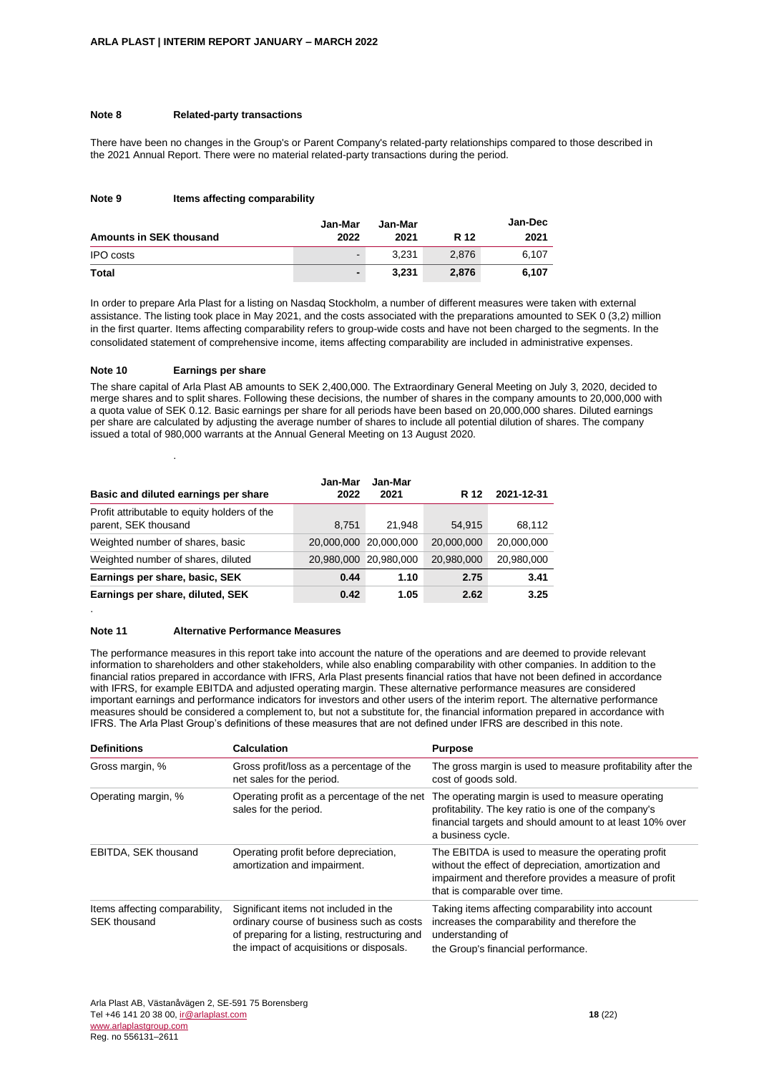### **Note 8 Related-party transactions**

There have been no changes in the Group's or Parent Company's related-party relationships compared to those described in the 2021 Annual Report. There were no material related-party transactions during the period.

#### **Note 9 Items affecting comparability**

| Amounts in SEK thousand | Jan-Mar<br>2022          | Jan-Mar<br>2021 | R 12  | <b>Jan-Dec</b><br>2021 |
|-------------------------|--------------------------|-----------------|-------|------------------------|
| <b>IPO</b> costs        | $\overline{\phantom{0}}$ | 3.231           | 2.876 | 6.107                  |
| <b>Total</b>            | $\blacksquare$           | 3.231           | 2.876 | 6.107                  |

In order to prepare Arla Plast for a listing on Nasdaq Stockholm, a number of different measures were taken with external assistance. The listing took place in May 2021, and the costs associated with the preparations amounted to SEK 0 (3,2) million in the first quarter. Items affecting comparability refers to group-wide costs and have not been charged to the segments. In the consolidated statement of comprehensive income, items affecting comparability are included in administrative expenses.

#### **Note 10 Earnings per share**

.

.

The share capital of Arla Plast AB amounts to SEK 2,400,000. The Extraordinary General Meeting on July 3, 2020, decided to merge shares and to split shares. Following these decisions, the number of shares in the company amounts to 20,000,000 with a quota value of SEK 0.12. Basic earnings per share for all periods have been based on 20,000,000 shares. Diluted earnings per share are calculated by adjusting the average number of shares to include all potential dilution of shares. The company issued a total of 980,000 warrants at the Annual General Meeting on 13 August 2020.

| Basic and diluted earnings per share                                 | Jan-Mar<br>2022 | Jan-Mar<br>2021 | R 12       | 2021-12-31 |
|----------------------------------------------------------------------|-----------------|-----------------|------------|------------|
| Profit attributable to equity holders of the<br>parent, SEK thousand | 8.751           | 21.948          | 54.915     | 68,112     |
| Weighted number of shares, basic                                     | 20,000,000      | 20.000.000      | 20,000,000 | 20,000,000 |
| Weighted number of shares, diluted                                   | 20,980,000      | 20.980.000      | 20.980.000 | 20.980.000 |
| Earnings per share, basic, SEK                                       | 0.44            | 1.10            | 2.75       | 3.41       |
| Earnings per share, diluted, SEK                                     | 0.42            | 1.05            | 2.62       | 3.25       |

#### **Note 11 Alternative Performance Measures**

The performance measures in this report take into account the nature of the operations and are deemed to provide relevant information to shareholders and other stakeholders, while also enabling comparability with other companies. In addition to the financial ratios prepared in accordance with IFRS, Arla Plast presents financial ratios that have not been defined in accordance with IFRS, for example EBITDA and adjusted operating margin. These alternative performance measures are considered important earnings and performance indicators for investors and other users of the interim report. The alternative performance measures should be considered a complement to, but not a substitute for, the financial information prepared in accordance with IFRS. The Arla Plast Group's definitions of these measures that are not defined under IFRS are described in this note.

| <b>Definitions</b>                             | Calculation                                                                                                                                                                     | <b>Purpose</b>                                                                                                                                                                                       |
|------------------------------------------------|---------------------------------------------------------------------------------------------------------------------------------------------------------------------------------|------------------------------------------------------------------------------------------------------------------------------------------------------------------------------------------------------|
| Gross margin, %                                | Gross profit/loss as a percentage of the<br>net sales for the period.                                                                                                           | The gross margin is used to measure profitability after the<br>cost of goods sold.                                                                                                                   |
| Operating margin, %                            | Operating profit as a percentage of the net<br>sales for the period.                                                                                                            | The operating margin is used to measure operating<br>profitability. The key ratio is one of the company's<br>financial targets and should amount to at least 10% over<br>a business cycle.           |
| EBITDA, SEK thousand                           | Operating profit before depreciation,<br>amortization and impairment.                                                                                                           | The EBITDA is used to measure the operating profit<br>without the effect of depreciation, amortization and<br>impairment and therefore provides a measure of profit<br>that is comparable over time. |
| Items affecting comparability,<br>SEK thousand | Significant items not included in the<br>ordinary course of business such as costs<br>of preparing for a listing, restructuring and<br>the impact of acquisitions or disposals. | Taking items affecting comparability into account<br>increases the comparability and therefore the<br>understanding of<br>the Group's financial performance.                                         |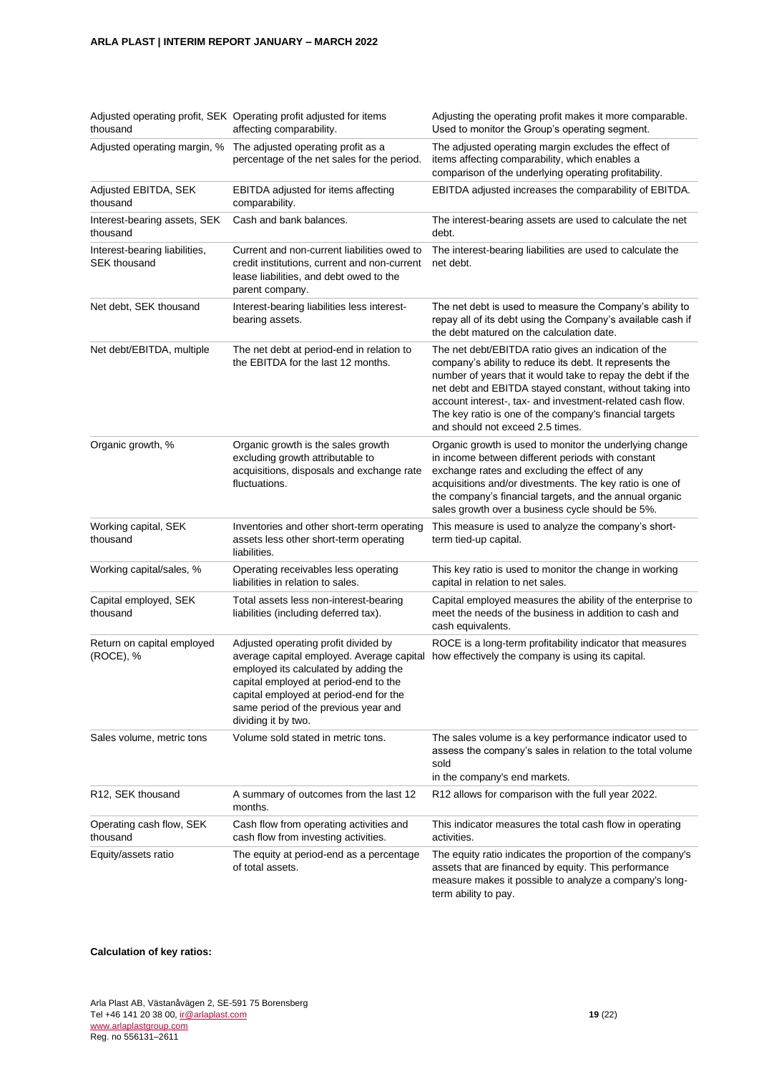| thousand                                             | Adjusted operating profit, SEK Operating profit adjusted for items<br>affecting comparability.                                                                                                                                                                               | Adjusting the operating profit makes it more comparable.<br>Used to monitor the Group's operating segment.                                                                                                                                                                                                                                                                                             |
|------------------------------------------------------|------------------------------------------------------------------------------------------------------------------------------------------------------------------------------------------------------------------------------------------------------------------------------|--------------------------------------------------------------------------------------------------------------------------------------------------------------------------------------------------------------------------------------------------------------------------------------------------------------------------------------------------------------------------------------------------------|
| Adjusted operating margin, %                         | The adjusted operating profit as a<br>percentage of the net sales for the period.                                                                                                                                                                                            | The adjusted operating margin excludes the effect of<br>items affecting comparability, which enables a<br>comparison of the underlying operating profitability.                                                                                                                                                                                                                                        |
| Adjusted EBITDA, SEK<br>thousand                     | EBITDA adjusted for items affecting<br>comparability.                                                                                                                                                                                                                        | EBITDA adjusted increases the comparability of EBITDA.                                                                                                                                                                                                                                                                                                                                                 |
| Interest-bearing assets, SEK<br>thousand             | Cash and bank balances.                                                                                                                                                                                                                                                      | The interest-bearing assets are used to calculate the net<br>debt.                                                                                                                                                                                                                                                                                                                                     |
| Interest-bearing liabilities,<br><b>SEK thousand</b> | Current and non-current liabilities owed to<br>credit institutions, current and non-current<br>lease liabilities, and debt owed to the<br>parent company.                                                                                                                    | The interest-bearing liabilities are used to calculate the<br>net debt.                                                                                                                                                                                                                                                                                                                                |
| Net debt, SEK thousand                               | Interest-bearing liabilities less interest-<br>bearing assets.                                                                                                                                                                                                               | The net debt is used to measure the Company's ability to<br>repay all of its debt using the Company's available cash if<br>the debt matured on the calculation date.                                                                                                                                                                                                                                   |
| Net debt/EBITDA, multiple                            | The net debt at period-end in relation to<br>the EBITDA for the last 12 months.                                                                                                                                                                                              | The net debt/EBITDA ratio gives an indication of the<br>company's ability to reduce its debt. It represents the<br>number of years that it would take to repay the debt if the<br>net debt and EBITDA stayed constant, without taking into<br>account interest-, tax- and investment-related cash flow.<br>The key ratio is one of the company's financial targets<br>and should not exceed 2.5 times. |
| Organic growth, %                                    | Organic growth is the sales growth<br>excluding growth attributable to<br>acquisitions, disposals and exchange rate<br>fluctuations.                                                                                                                                         | Organic growth is used to monitor the underlying change<br>in income between different periods with constant<br>exchange rates and excluding the effect of any<br>acquisitions and/or divestments. The key ratio is one of<br>the company's financial targets, and the annual organic<br>sales growth over a business cycle should be 5%.                                                              |
| Working capital, SEK<br>thousand                     | Inventories and other short-term operating<br>assets less other short-term operating<br>liabilities.                                                                                                                                                                         | This measure is used to analyze the company's short-<br>term tied-up capital.                                                                                                                                                                                                                                                                                                                          |
| Working capital/sales, %                             | Operating receivables less operating<br>liabilities in relation to sales.                                                                                                                                                                                                    | This key ratio is used to monitor the change in working<br>capital in relation to net sales.                                                                                                                                                                                                                                                                                                           |
| Capital employed, SEK<br>thousand                    | Total assets less non-interest-bearing<br>liabilities (including deferred tax).                                                                                                                                                                                              | Capital employed measures the ability of the enterprise to<br>meet the needs of the business in addition to cash and<br>cash equivalents.                                                                                                                                                                                                                                                              |
| Return on capital employed<br>(ROCE), %              | Adjusted operating profit divided by<br>average capital employed. Average capital<br>employed its calculated by adding the<br>capital employed at period-end to the<br>capital employed at period-end for the<br>same period of the previous year and<br>dividing it by two. | ROCE is a long-term profitability indicator that measures<br>how effectively the company is using its capital.                                                                                                                                                                                                                                                                                         |
| Sales volume, metric tons                            | Volume sold stated in metric tons.                                                                                                                                                                                                                                           | The sales volume is a key performance indicator used to<br>assess the company's sales in relation to the total volume<br>sold<br>in the company's end markets.                                                                                                                                                                                                                                         |
| R12, SEK thousand                                    | A summary of outcomes from the last 12<br>months.                                                                                                                                                                                                                            | R12 allows for comparison with the full year 2022.                                                                                                                                                                                                                                                                                                                                                     |
| Operating cash flow, SEK<br>thousand                 | Cash flow from operating activities and<br>cash flow from investing activities.                                                                                                                                                                                              | This indicator measures the total cash flow in operating<br>activities.                                                                                                                                                                                                                                                                                                                                |
| Equity/assets ratio                                  | The equity at period-end as a percentage<br>of total assets.                                                                                                                                                                                                                 | The equity ratio indicates the proportion of the company's<br>assets that are financed by equity. This performance<br>measure makes it possible to analyze a company's long-<br>term ability to pay.                                                                                                                                                                                                   |

### **Calculation of key ratios:**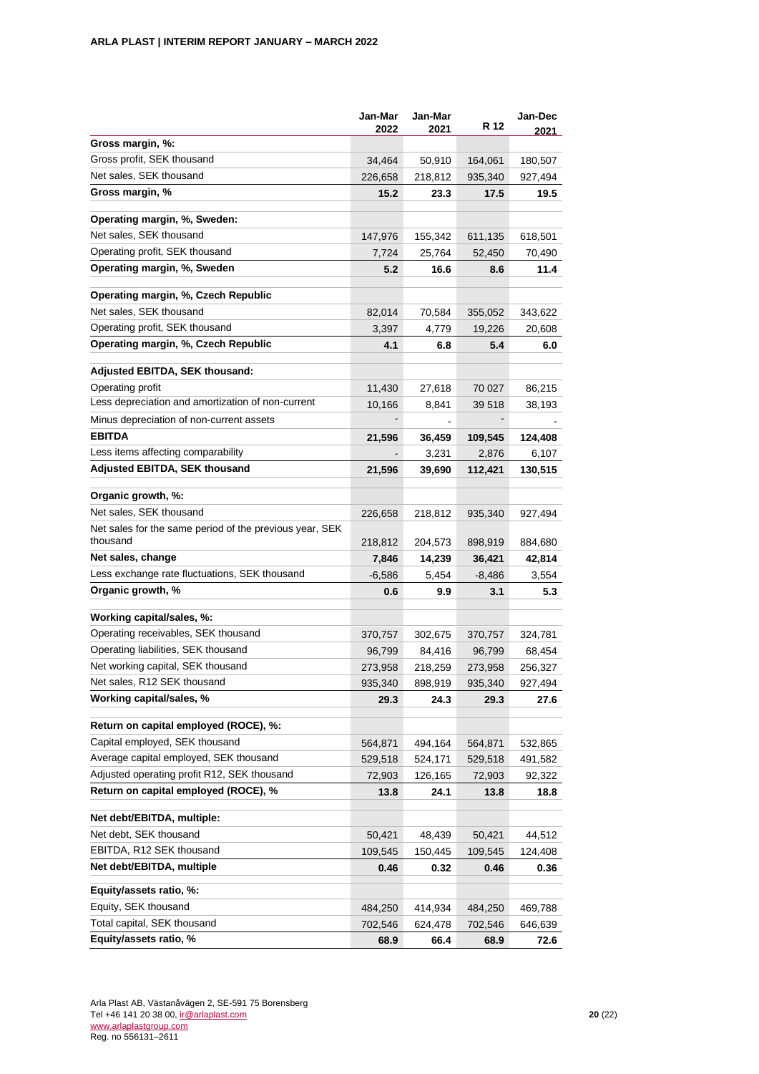|                                                                                     | Jan-Mar  | Jan-Mar | R 12     | Jan-Dec |
|-------------------------------------------------------------------------------------|----------|---------|----------|---------|
| Gross margin, %:                                                                    | 2022     | 2021    |          | 2021    |
| Gross profit, SEK thousand                                                          | 34,464   | 50,910  | 164,061  | 180,507 |
| Net sales, SEK thousand                                                             | 226,658  | 218,812 | 935,340  | 927,494 |
| Gross margin, %                                                                     | 15.2     | 23.3    | 17.5     | 19.5    |
|                                                                                     |          |         |          |         |
| Operating margin, %, Sweden:                                                        |          |         |          |         |
| Net sales, SEK thousand                                                             | 147,976  | 155,342 | 611,135  | 618,501 |
| Operating profit, SEK thousand                                                      | 7,724    | 25,764  | 52,450   | 70,490  |
| Operating margin, %, Sweden                                                         | 5.2      | 16.6    | 8.6      | 11.4    |
| Operating margin, %, Czech Republic                                                 |          |         |          |         |
| Net sales, SEK thousand                                                             | 82,014   | 70,584  | 355,052  | 343,622 |
| Operating profit, SEK thousand                                                      | 3,397    | 4,779   | 19,226   | 20,608  |
| Operating margin, %, Czech Republic                                                 | 4.1      | 6.8     | 5.4      | 6.0     |
|                                                                                     |          |         |          |         |
| Adjusted EBITDA, SEK thousand:                                                      |          |         |          |         |
| Operating profit                                                                    | 11,430   | 27,618  | 70 027   | 86,215  |
| Less depreciation and amortization of non-current                                   | 10,166   | 8,841   | 39 518   | 38,193  |
| Minus depreciation of non-current assets                                            |          |         |          |         |
| <b>EBITDA</b>                                                                       | 21,596   | 36,459  | 109,545  | 124,408 |
| Less items affecting comparability                                                  |          | 3,231   | 2,876    | 6,107   |
| <b>Adjusted EBITDA, SEK thousand</b>                                                | 21,596   | 39,690  | 112,421  | 130,515 |
| Organic growth, %:                                                                  |          |         |          |         |
| Net sales, SEK thousand                                                             | 226,658  | 218,812 | 935,340  | 927,494 |
| Net sales for the same period of the previous year, SEK                             |          |         |          |         |
| thousand                                                                            | 218,812  | 204,573 | 898,919  | 884,680 |
| Net sales, change                                                                   | 7,846    | 14,239  | 36,421   | 42,814  |
| Less exchange rate fluctuations, SEK thousand                                       | $-6,586$ | 5,454   | $-8,486$ | 3,554   |
| Organic growth, %                                                                   | 0.6      | 9.9     | 3.1      | 5.3     |
| Working capital/sales, %:                                                           |          |         |          |         |
| Operating receivables, SEK thousand                                                 | 370,757  | 302,675 | 370,757  | 324,781 |
| Operating liabilities, SEK thousand                                                 | 96,799   | 84,416  | 96,799   | 68,454  |
| Net working capital, SEK thousand                                                   | 273,958  | 218,259 | 273,958  | 256,327 |
| Net sales, R12 SEK thousand                                                         | 935,340  | 898,919 | 935,340  | 927,494 |
| Working capital/sales, %                                                            | 29.3     | 24.3    | 29.3     | 27.6    |
|                                                                                     |          |         |          |         |
| Return on capital employed (ROCE), %:                                               |          |         |          |         |
| Capital employed, SEK thousand                                                      | 564,871  | 494,164 | 564,871  | 532,865 |
| Average capital employed, SEK thousand                                              | 529,518  | 524,171 | 529,518  | 491,582 |
| Adjusted operating profit R12, SEK thousand<br>Return on capital employed (ROCE), % | 72,903   | 126,165 | 72,903   | 92,322  |
|                                                                                     | 13.8     | 24.1    | 13.8     | 18.8    |
| Net debt/EBITDA, multiple:                                                          |          |         |          |         |
| Net debt, SEK thousand                                                              | 50,421   | 48,439  | 50,421   | 44,512  |
| EBITDA, R12 SEK thousand                                                            | 109,545  | 150,445 | 109,545  | 124,408 |
| Net debt/EBITDA, multiple                                                           | 0.46     | 0.32    | 0.46     | 0.36    |
| Equity/assets ratio, %:                                                             |          |         |          |         |
| Equity, SEK thousand                                                                | 484,250  | 414,934 | 484,250  | 469,788 |
| Total capital, SEK thousand                                                         | 702,546  | 624,478 | 702,546  | 646,639 |
| Equity/assets ratio, %                                                              | 68.9     | 66.4    | 68.9     | 72.6    |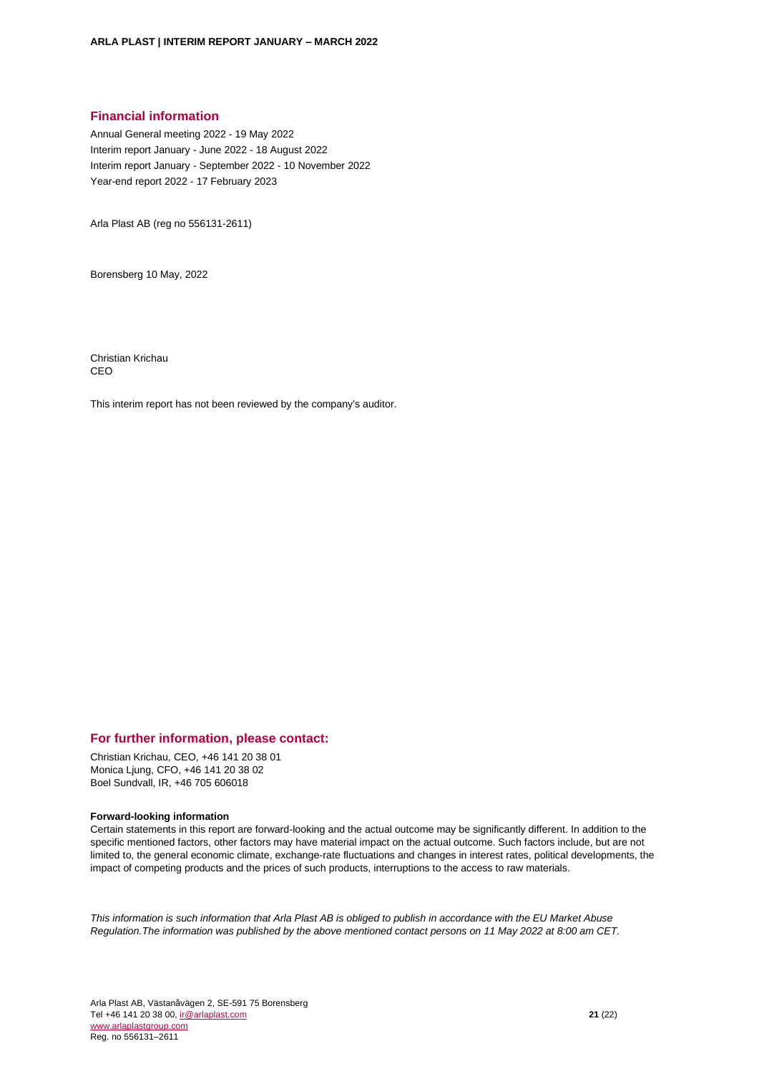### **Financial information**

Annual General meeting 2022 - 19 May 2022 Interim report January - June 2022 - 18 August 2022 Interim report January - September 2022 - 10 November 2022 Year-end report 2022 - 17 February 2023

Arla Plast AB (reg no 556131-2611)

Borensberg 10 May, 2022

Christian Krichau CEO

This interim report has not been reviewed by the company's auditor.

### **For further information, please contact:**

Christian Krichau, CEO, +46 141 20 38 01 Monica Ljung, CFO, +46 141 20 38 02 Boel Sundvall, IR, +46 705 606018

#### **Forward-looking information**

Certain statements in this report are forward-looking and the actual outcome may be significantly different. In addition to the specific mentioned factors, other factors may have material impact on the actual outcome. Such factors include, but are not limited to, the general economic climate, exchange-rate fluctuations and changes in interest rates, political developments, the impact of competing products and the prices of such products, interruptions to the access to raw materials.

*This information is such information that Arla Plast AB is obliged to publish in accordance with the EU Market Abuse Regulation.The information was published by the above mentioned contact persons on 11 May 2022 at 8:00 am CET.*